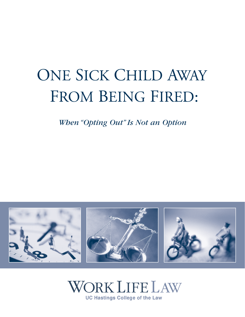# ONE SICK CHILD AWAY FROM BEING FIRED:

*When "Opting Out" Is Not an Option*



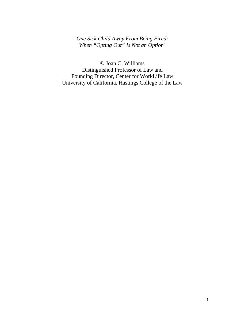# *One Sick Child Away From Being Fired: When "Opting Out" Is Not an Option[1](#page-82-0)*

© Joan C. Williams Distinguished Professor of Law and Founding Director, Center for WorkLife Law University of California, Hastings College of the Law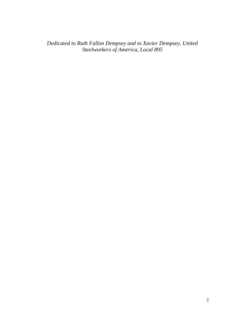*Dedicated to Ruth Fallon Dempsey and to Xavier Dempsey, United Steelworkers of America, Local 895*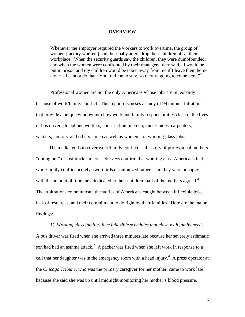### **OVERVIEW**

Whenever the employer required the workers to work overtime, the group of women [factory workers] had their babysitters drop their children off at their workplace. When the security guards saw the children, they were dumbfounded, and when the women were confronted by their managers, they said, "I would be put in prison and my children would be taken away from me if I leave them home alone – I cannot do that. You told me to stay, so they're going to come here.<sup>"[2](#page-82-1)</sup>

 Professional women are not the only Americans whose jobs are in jeopardy because of work/family conflict. This report discusses a study of 99 union arbitrations that provide a unique window into how work and family responsibilities clash in the lives of bus drivers, telephone workers, construction linemen, nurses aides, carpenters, welders, janitors, and others – men as well as women – in working-class jobs.

 The media tends to cover work/family conflict as the story of professional mothers "opting out" of fast-track careers.<sup>[3](#page-82-1)</sup> Surveys confirm that working class Americans feel work/family conflict acutely: two-thirds of unionized fathers said they were unhappy with the amount of time they dedicated to their children; half of the mothers agreed. $4$ The arbitrations communicate the stories of Americans caught between inflexible jobs, lack of resources, and their commitment to do right by their families. Here are the major findings:

1) *Working class families face inflexible schedules that clash with family needs.*  A bus driver was fired when she arrived three minutes late because her severely asthmatic son had had an asthma attack.<sup>[5](#page-82-1)</sup> A packer was fired when she left work in response to a call that her daughter was in the emergency room with a head injury.<sup>[6](#page-82-1)</sup> A press operator at the *Chicago Tribune,* who was the primary caregiver for her mother, came to work late because she said she was up until midnight monitoring her mother's blood pressure,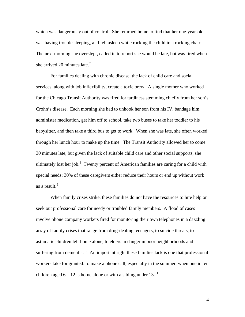which was dangerously out of control. She returned home to find that her one-year-old was having trouble sleeping, and fell asleep while rocking the child in a rocking chair. The next morning she overslept, called in to report she would be late, but was fired when she arrived 20 minutes late. $<sup>7</sup>$  $<sup>7</sup>$  $<sup>7</sup>$ </sup>

 For families dealing with chronic disease, the lack of child care and social services, along with job inflexibility, create a toxic brew. A single mother who worked for the Chicago Transit Authority was fired for tardiness stemming chiefly from her son's Crohn's disease. Each morning she had to unhook her son from his IV, bandage him, administer medication, get him off to school, take two buses to take her toddler to his babysitter, and then take a third bus to get to work. When she was late, she often worked through her lunch hour to make up the time. The Transit Authority allowed her to come 30 minutes late, but given the lack of suitable child care and other social supports, she ultimately lost her job. $8$  Twenty percent of American families are caring for a child with special needs; 30% of these caregivers either reduce their hours or end up without work as a result.<sup>[9](#page-82-1)</sup>

 When family crises strike, these families do not have the resources to hire help or seek out professional care for needy or troubled family members. A flood of cases involve phone company workers fired for monitoring their own telephones in a dazzling array of family crises that range from drug-dealing teenagers, to suicide threats, to asthmatic children left home alone, to elders in danger in poor neighborhoods and suffering from dementia.<sup>[1](#page-82-1)0</sup> An important right these families lack is one that professional workers take for granted: to make a phone call, especially in the summer, when one in ten children aged  $6 - 12$  is home alone or with a sibling under 13.<sup>[11](#page-82-1)</sup>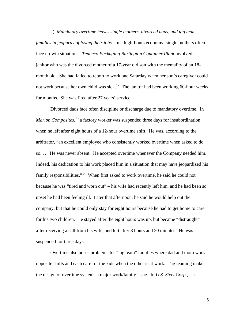2) *Mandatory overtime leaves single mothers, divorced dads, and tag team families in jeopardy of losing their jobs.* In a high-hours economy, single mothers often face no-win situations. *Tenneco Packaging Burlington Container Plant* involved a janitor who was the divorced mother of a 17-year old son with the mentality of an 18 month old. She had failed to report to work one Saturday when her son's caregiver could not work because her own child was sick.<sup>[1](#page-82-1)2</sup> The janitor had been working 60-hour weeks for months. She was fired after 27 years' service.

 Divorced dads face often discipline or discharge due to mandatory overtime. In *Marion Composites*, [1](#page-82-1)3 a factory worker was suspended three days for insubordination when he left after eight hours of a 12-hour overtime shift. He was, according to the arbitrator, "an excellent employee who consistently worked overtime when asked to do so. . . . He was never absent. He accepted overtime whenever the Company needed him. Indeed, his dedication to his work placed him in a situation that may have jeopardized his family responsibilities."<sup>[14](#page-82-1)</sup> When first asked to work overtime, he said he could not because he was "tired and worn out" – his wife had recently left him, and he had been so upset he had been feeling ill. Later that afternoon, he said he would help out the company, but that he could only stay for eight hours because he had to get home to care for his two children. He stayed after the eight hours was up, but became "distraught" after receiving a call from his wife, and left after 8 hours and 20 minutes. He was suspended for three days.

Overtime also poses problems for "tag team" families where dad and mom work opposite shifts and each care for the kids when the other is at work. Tag teaming makes the design of overtime systems a major work/family issue. In *U.S. Steel Corp.*,<sup>[1](#page-82-1)5</sup> a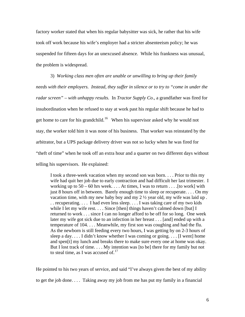factory worker stated that when his regular babysitter was sick, he rather that his wife took off work because his wife's employer had a stricter absenteeism policy; he was suspended for fifteen days for an unexcused absence. While his frankness was unusual, the problem is widespread.

 3) *Working class men often are unable or unwilling to bring up their family needs with their employers. Instead, they suffer in silence or to try to "come in under the radar screen" – with unhappy results.* In *Tractor Supply Co*., a grandfather was fired for insubordination when he refused to stay at work past his regular shift because he had to get home to care for his grandchild.<sup>[1](#page-82-1)6</sup> When his supervisor asked why he would not stay, the worker told him it was none of his business. That worker was reinstated by the arbitrator, but a UPS package delivery driver was not so lucky when he was fired for "theft of time" when he took off an extra hour and a quarter on two different days without telling his supervisors. He explained:

I took a three-week vacation when my second son was born. . . . Prior to this my wife had quit her job due to early contraction and had difficult her last trimester. I working up to  $50 - 60$  hrs week.... At times, I was to return ... [to work] with just 8 hours off in between. Barely enough time to sleep or recuperate. . . . On my vacation time, with my new baby boy and my 2 ½ year old, my wife was laid up . . . recuperating. . . . I had even less sleep. . . . I was taking care of my two kids while I let my wife rest. . . . Since [then] things haven't calmed down [but] I returned to work . . . since I can no longer afford to be off for so long. One week later my wife got sick due to an infection in her breast . . . [and] ended up with a temperature of 104. . . . Meanwhile, my first son was coughing and had the flu. As the newborn is still feeding every two hours, I was getting by on 2-3 hours of sleep a day.... I didn't know whether I was coming or going.... [I went] home and spen[t] my lunch and breaks there to make sure every one at home was okay. But I lost track of time. . . . My intention was [to be] there for my family but not to steal time, as I was accused of. $17$ 

He pointed to his two years of service, and said "I've always given the best of my ability to get the job done. . . . Taking away my job from me has put my family in a financial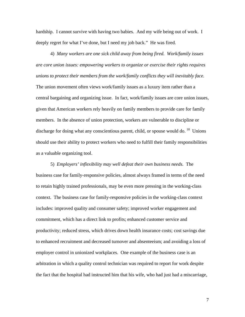hardship. I cannot survive with having two babies. And my wife being out of work. I deeply regret for what I've done, but I need my job back." He was fired.

 4) *Many workers are one sick child away from being fired. Work/family issues are core union issues: empowering workers to organize or exercise their rights requires unions to protect their members from the work/family conflicts they will inevitably face.*  The union movement often views work/family issues as a luxury item rather than a central bargaining and organizing issue. In fact, work/family issues are core union issues, given that American workers rely heavily on family members to provide care for family members. In the absence of union protection, workers are vulnerable to discipline or discharge for doing what any conscientious parent, child, or spouse would do.  $18$  $18$  Unions should use their ability to protect workers who need to fulfill their family responsibilities as a valuable organizing tool.

 5) *Employers' inflexibility may well defeat their own business needs.* The business case for family-responsive policies, almost always framed in terms of the need to retain highly trained professionals, may be even more pressing in the working-class context. The business case for family-responsive policies in the working-class context includes: improved quality and consumer safety; improved worker engagement and commitment, which has a direct link to profits; enhanced customer service and productivity; reduced stress, which drives down health insurance costs; cost savings due to enhanced recruitment and decreased turnover and absenteeism; and avoiding a loss of employer control in unionized workplaces. One example of the business case is an arbitration in which a quality control technician was required to report for work despite the fact that the hospital had instructed him that his wife, who had just had a miscarriage,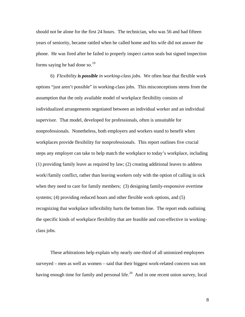should not be alone for the first 24 hours. The technician, who was 56 and had fifteen years of seniority, became rattled when he called home and his wife did not answer the phone. He was fired after he failed to properly inspect carton seals but signed inspection forms saying he had done so. $^{19}$  $^{19}$  $^{19}$ 

6) *Flexibility is possible in working-class jobs.* We often hear that flexible work options "just aren't possible" in working-class jobs. This misconceptions stems from the assumption that the only available model of workplace flexibility consists of individualized arrangements negotiated between an individual worker and an individual supervisor. That model, developed for professionals, often is unsuitable for nonprofessionals. Nonetheless, both employers and workers stand to benefit when workplaces provide flexibility for nonprofessionals. This report outlines five crucial steps any employer can take to help match the workplace to today's workplace, including (1) providing family leave as required by law; (2) creating additional leaves to address work//family conflict, rather than leaving workers only with the option of calling in sick when they need to care for family members; (3) designing family-responsive overtime systems; (4) providing reduced hours and other flexible work options, and (5) recognizing that workplace inflexibility hurts the bottom line. The report ends outlining the specific kinds of workplace flexibility that are feasible and cost-effective in workingclass jobs.

These arbitrations help explain why nearly one-third of all unionized employees surveyed – men as well as women – said that their biggest work-related concern was not having enough time for family and personal life.<sup>[2](#page-82-1)0</sup> And in one recent union survey, local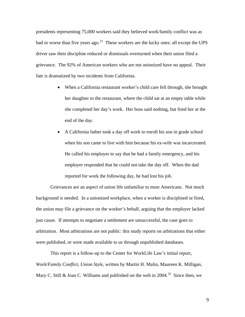presidents representing 75,000 workers said they believed work/family conflict was as bad or worse than five years ago.<sup>[2](#page-82-1)1</sup> These workers are the lucky ones: all except the UPS driver saw their discipline reduced or dismissals overturned when their union filed a grievance. The 92% of American workers who are not unionized have no appeal. Their fate is dramatized by two incidents from California.

- When a California restaurant worker's child care fell through, she brought her daughter to the restaurant, where the child sat at an empty table while she completed her day's work. Her boss said nothing, but fired her at the end of the day.
- A California father took a day off work to enroll his son in grade school when his son came to live with him because his ex-wife was incarcerated. He called his employer to say that he had a family emergency, and his employer responded that he could not take the day off. When the dad reported for work the following day, he had lost his job.

 Grievances are an aspect of union life unfamiliar to most Americans. Not much background is needed. In a unionized workplace, when a worker is disciplined or fired, the union may file a grievance on the worker's behalf, arguing that the employer lacked just cause. If attempts to negotiate a settlement are unsuccessful, the case goes to arbitration. Most arbitrations are not public: this study reports on arbitrations that either were published, or were made available to us through unpublished databases.

This report is a follow-up to the Center for WorkLife Law's initial report, *Work/Family Conflict, Union Style*, written by Martin H. Malin, Maureen K. Milligan, Mary C. Still & Joan C. Williams and published on the web in  $2004<sup>22</sup>$  $2004<sup>22</sup>$  $2004<sup>22</sup>$  Since then, we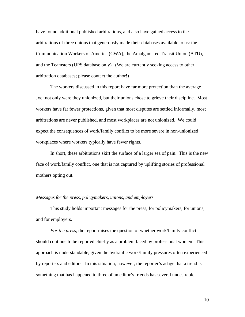have found additional published arbitrations, and also have gained access to the arbitrations of three unions that generously made their databases available to us: the Communication Workers of America (CWA), the Amalgamated Transit Union (ATU), and the Teamsters (UPS database only). (We are currently seeking access to other arbitration databases; please contact the author!)

The workers discussed in this report have far more protection than the average Joe: not only were they unionized, but their unions chose to grieve their discipline. Most workers have far fewer protections, given that most disputes are settled informally, most arbitrations are never published, and most workplaces are not unionized. We could expect the consequences of work/family conflict to be more severe in non-unionized workplaces where workers typically have fewer rights.

In short, these arbitrations skirt the surface of a larger sea of pain. This is the new face of work/family conflict, one that is not captured by uplifting stories of professional mothers opting out.

#### *Messages for the press, policymakers, unions, and employers*

 This study holds important messages for the press, for policymakers, for unions, and for employers.

*For the press*, the report raises the question of whether work/family conflict should continue to be reported chiefly as a problem faced by professional women. This approach is understandable, given the hydraulic work/family pressures often experienced by reporters and editors. In this situation, however, the reporter's adage that a trend is something that has happened to three of an editor's friends has several undesirable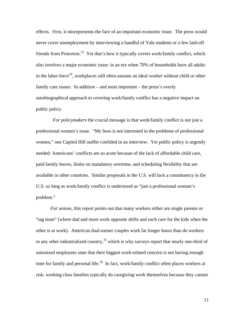effects. First, it misrepresents the face of an important economic issue. The press would never cover unemployment by interviewing a handful of Yale students or a few laid-off friends from Princeton.<sup>[2](#page-82-1)3</sup> Yet that's how it typically covers work/family conflict, which also involves a major economic issue: in an era when 70% of households have all adults in the labor force<sup>[24](#page-82-1)</sup>, workplaces still often assume an ideal worker without child or other family care issues. In addition – and most important – the press's overly autobiographical approach to covering work/family conflict has a negative impact on public policy.

 *For policymakers* the crucial message is that work/family conflict is not just a professional women's issue. "My boss is not interested in the problems of professional women," one Capitol Hill staffer confided in an interview. Yet public policy is urgently needed: Americans' conflicts are so acute because of the lack of affordable child care, paid family leaves, limits on mandatory overtime, and scheduling flexibility that are available in other countries. Similar proposals in the U.S. will lack a constituency in the U.S. so long as work/family conflict is understood as "just a professional woman's problem."

*For unions*, this report points out that many workers either are single parents or "tag team" (where dad and mom work opposite shifts and each care for the kids when the other is at work). American dual-earner couples work far longer hours than do workers in any other industrialized country,<sup>[25](#page-82-1)</sup> which is why surveys report that nearly one-third of unionized employees state that their biggest work-related concern is not having enough time for family and personal life.<sup>[2](#page-82-1)6</sup> In fact, work/family conflict often places workers at risk: working class families typically do caregiving work themselves because they cannot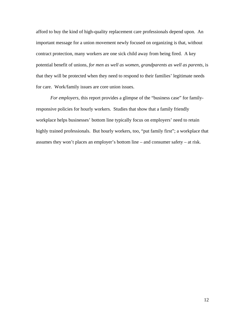afford to buy the kind of high-quality replacement care professionals depend upon. An important message for a union movement newly focused on organizing is that, without contract protection, many workers are one sick child away from being fired.A key potential benefit of unions, *for men as well as women, grandparents as well as parents,* is that they will be protected when they need to respond to their families' legitimate needs for care. Work/family issues are core union issues.

*For employers*, this report provides a glimpse of the "business case" for familyresponsive policies for hourly workers. Studies that show that a family friendly workplace helps businesses' bottom line typically focus on employers' need to retain highly trained professionals. But hourly workers, too, "put family first"; a workplace that assumes they won't places an employer's bottom line – and consumer safety – at risk.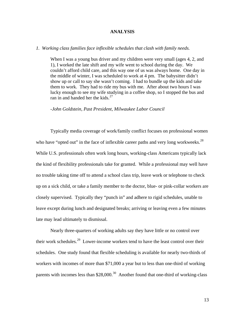# **ANALYSIS**

# *1. Working class families face inflexible schedules that clash with family needs.*

When I was a young bus driver and my children were very small (ages 4, 2, and 1), I worked the late shift and my wife went to school during the day. We couldn't afford child care, and this way one of us was always home. One day in the middle of winter, I was scheduled to work at 4 pm. The babysitter didn't show up or call to say she wasn't coming. I had to bundle up the kids and take them to work. They had to ride my bus with me. After about two hours I was lucky enough to see my wife studying in a coffee shop, so I stopped the bus and ran in and handed her the kids. $27$  $27$ 

#### -*John Goldstein, Past President, Milwaukee Labor Council*

Typically media coverage of work/family conflict focuses on professional women who have "opted out" in the face of inflexible career paths and very long workweeks.<sup>[28](#page-82-1)</sup> While U.S. professionals often work long hours, working-class Americans typically lack the kind of flexibility professionals take for granted. While a professional may well have no trouble taking time off to attend a school class trip, leave work or telephone to check up on a sick child, or take a family member to the doctor, blue- or pink-collar workers are closely supervised. Typically they "punch in" and adhere to rigid schedules, unable to leave except during lunch and designated breaks; arriving or leaving even a few minutes late may lead ultimately to dismissal.

Nearly three-quarters of working adults say they have little or no control over their work schedules.[29](#page-82-1) Lower-income workers tend to have the least control over their schedules. One study found that flexible scheduling is available for nearly two-thirds of workers with incomes of more than \$71,000 a year but to less than one-third of working parents with incomes less than  $$28,000.<sup>30</sup>$  $$28,000.<sup>30</sup>$  $$28,000.<sup>30</sup>$  Another found that one-third of working-class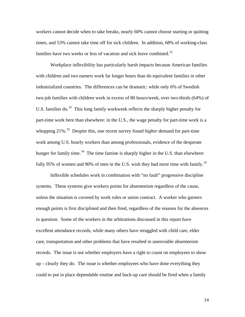workers cannot decide when to take breaks, nearly 60% cannot choose starting or quitting times, and 53% cannot take time off for sick children. In addition, 68% of working-class families have two weeks or less of vacation and sick leave combined.<sup>[31](#page-82-1)</sup>

Workplace inflexibility has particularly harsh impacts because American families with children and two earners work far longer hours than do equivalent families in other industrialized countries. The differences can be dramatic: while only 6% of Swedish two-job families with children work in excess of 80 hours/week, over two-thirds (64%) of U.S. families do. $32$  This long family workweek reflects the sharply higher penalty for part-time work here than elsewhere: in the U.S., the wage penalty for part-time work is a whopping 21%.[33](#page-82-1) Despite this, one recent survey found *higher* demand for part-time work among U.S. hourly workers than among professionals, evidence of the desperate hunger for family time.<sup>[3](#page-82-1)4</sup> The time famine is sharply higher in the U.S. than elsewhere: fully 95% of women and 90% of men in the U.S. wish they had more time with family.<sup>[3](#page-82-1)5</sup>

Inflexible schedules work in combination with "no fault" progressive discipline systems. These systems give workers points for absenteeism regardless of the cause, unless the situation is covered by work rules or union contract. A worker who garners enough points is first disciplined and then fired, regardless of the reasons for the absences in question. Some of the workers in the arbitrations discussed in this report have excellent attendance records, while many others have struggled with child care, elder care, transportation and other problems that have resulted in unenviable absenteeism records. The issue is not whether employers have a right to count on employees to show up – clearly they do. The issue is whether employees who have done everything they could to put in place dependable routine and back-up care should be fired when a family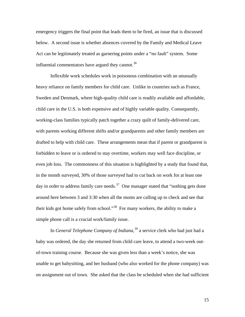emergency triggers the final point that leads them to be fired, an issue that is discussed below. A second issue is whether absences covered by the Family and Medical Leave Act can be legitimately treated as garnering points under a "no fault" system. Some influential commentators have argued they cannot.<sup>[36](#page-82-1)</sup>

Inflexible work schedules work in poisonous combination with an unusually heavy reliance on family members for child care. Unlike in countries such as France, Sweden and Denmark, where high-quality child care is readily available and affordable, child care in the U.S. is both expensive and of highly variable quality. Consequently, working-class families typically patch together a crazy quilt of family-delivered care, with parents working different shifts and/or grandparents and other family members are drafted to help with child care. These arrangements mean that if parent or grandparent is forbidden to leave or is ordered to stay overtime, workers may well face discipline, or even job loss. The commonness of this situation is highlighted by a study that found that, in the month surveyed, 30% of those surveyed had to cut back on work for at least one day in order to address family care needs.<sup>[3](#page-82-1)7</sup> One manager stated that "nothing gets done" around here between 3 and 3:30 when all the moms are calling up to check and see that their kids got home safely from school."[3](#page-82-1)8 For many workers, the ability to make a simple phone call is a crucial work/family issue.

In *General Telephone Company of Indiana,*[3](#page-82-1)9 a service clerk who had just had a baby was ordered, the day she returned from child care leave, to attend a two-week outof-town training course. Because she was given less than a week's notice, she was unable to get babysitting, and her husband (who also worked for the phone company) was on assignment out of town. She asked that the class be scheduled when she had sufficient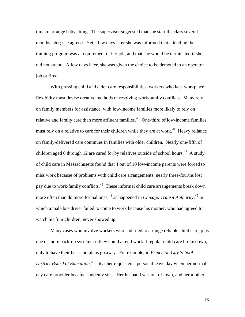time to arrange babysitting. The supervisor suggested that she start the class several months later; she agreed. Yet a few days later she was informed that attending the training program was a requirement of her job, and that she would be terminated if she did not attend. A few days later, she was given the choice to be demoted to an operator job or fired.

With pressing child and elder care responsibilities, workers who lack workplace flexibility must devise creative methods of resolving work/family conflicts. Many rely on family members for assistance, with low-income families more likely to rely on relative and family care than more affluent families.<sup>[4](#page-82-1)0</sup> One-third of low-income families must rely on a relative to care for their children while they are at work.<sup>[41](#page-82-1)</sup> Heavy reliance on family-delivered care continues in families with older children. Nearly one-fifth of children aged 6 through 12 are cared for by relatives outside of school hours.<sup>[42](#page-82-1)</sup> A study of child care in Massachusetts found that 4 out of 10 low-income parents were forced to miss work because of problems with child care arrangements; nearly three-fourths lost pay due to work/family conflicts.<sup>[4](#page-82-1)3</sup> These informal child care arrangements break down more often than do more formal ones,<sup>[4](#page-82-1)4</sup> as happened in *Chicago Transit Authority*,<sup>[45](#page-82-1)</sup> in which a male bus driver failed to come to work because his mother, who had agreed to watch his four children, never showed up.

Many cases won involve workers who had tried to arrange reliable child care, plus one or more back-up systems so they could attend work if regular child care broke down, only to have their best-laid plans go awry. For example, in *Princeton City School District Board of Education*, [46](#page-82-1) a teacher requested a personal leave day when her normal day care provider became suddenly sick. Her husband was out of town, and her mother-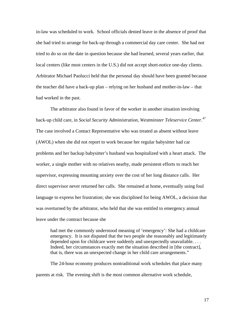in-law was scheduled to work. School officials denied leave in the absence of proof that she had tried to arrange for back-up through a commercial day care center. She had not tried to do so on the date in question because she had learned, several years earlier, that local centers (like most centers in the U.S.) did not accept short-notice one-day clients. Arbitrator Michael Paolucci held that the personal day should have been granted because the teacher did have a back-up plan – relying on her husband and mother-in-law – that had worked in the past.

The arbitrator also found in favor of the worker in another situation involving back-up child care, in *Social Security Administration, Westminster Teleservice Center*. [4](#page-82-1)7 The case involved a Contact Representative who was treated as absent without leave (AWOL) when she did not report to work because her regular babysitter had car problems and her backup babysitter's husband was hospitalized with a heart attack. The worker, a single mother with no relatives nearby, made persistent efforts to reach her supervisor, expressing mounting anxiety over the cost of her long distance calls. Her direct supervisor never returned her calls. She remained at home, eventually using foul language to express her frustration; she was disciplined for being AWOL, a decision that was overturned by the arbitrator, who held that she was entitled to emergency annual leave under the contract because she

had met the commonly understood meaning of 'emergency': She had a childcare emergency. It is not disputed that the two people she reasonably and legitimately depended upon for childcare were suddenly and unexpectedly unavailable. . . . Indeed, her circumstances exactly met the situation described in [the contract], that is, there was an unexpected change in her child care arrangements."

The 24-hour economy produces nontraditional work schedules that place many parents at risk. The evening shift is the most common alternative work schedule,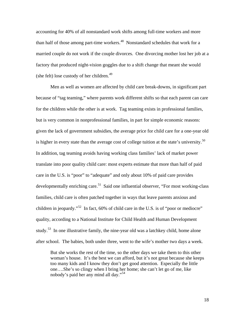accounting for 40% of all nonstandard work shifts among full-time workers and more than half of those among part-time workers.<sup>[4](#page-82-1)8</sup> Nonstandard schedules that work for a married couple do not work if the couple divorces. One divorcing mother lost her job at a factory that produced night-vision goggles due to a shift change that meant she would (she felt) lose custody of her children. $49$ 

 Men as well as women are affected by child care break-downs, in significant part because of "tag teaming," where parents work different shifts so that each parent can care for the children while the other is at work. Tag teaming exists in professional families, but is very common in nonprofessional families, in part for simple economic reasons: given the lack of government subsidies, the average price for child care for a one-year old is higher in every state than the average cost of college tuition at the state's university.<sup>[5](#page-82-1)0</sup> In addition, tag teaming avoids having working class families' lack of market power translate into poor quality child care: most experts estimate that more than half of paid care in the U.S. is "poor" to "adequate" and only about 10% of paid care provides developmentally enriching care.<sup>[51](#page-82-1)</sup> Said one influential observer, "For most working-class" families, child care is often patched together in ways that leave parents anxious and children in jeopardy."<sup>[5](#page-82-1)2</sup> In fact, 60% of child care in the U.S. is of "poor or mediocre" quality, according to a National Institute for Child Health and Human Development study.<sup>[53](#page-82-1)</sup> In one illustrative family, the nine-year old was a latchkey child, home alone after school. The babies, both under three, went to the wife's mother two days a week.

But she works the rest of the time, so the other days we take them to this other woman's house. It's the best we can afford, but it's not great because she keeps too many kids and I know they don't get good attention. Especially the little one….She's so clingy when I bring her home; she can't let go of me, like nobody's paid her any mind all day."[54](#page-82-1)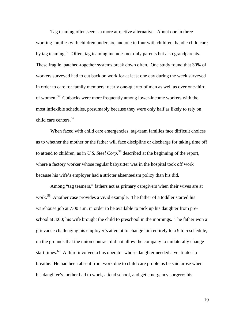Tag teaming often seems a more attractive alternative. About one in three working families with children under six, and one in four with children, handle child care by tag teaming.<sup>[55](#page-82-1)</sup> Often, tag teaming includes not only parents but also grandparents. These fragile, patched-together systems break down often. One study found that 30% of workers surveyed had to cut back on work for at least one day during the week surveyed in order to care for family members: nearly one-quarter of men as well as over one-third of women.[56](#page-82-1) Cutbacks were more frequently among lower-income workers with the most inflexible schedules, presumably because they were only half as likely to rely on child care centers.<sup>[5](#page-82-1)7</sup>

 When faced with child care emergencies, tag-team families face difficult choices as to whether the mother or the father will face discipline or discharge for taking time off to attend to children, as in *U.S. Steel Corp.*[58](#page-82-1) described at the beginning of the report, where a factory worker whose regular babysitter was in the hospital took off work because his wife's employer had a stricter absenteeism policy than his did.

Among "tag teamers," fathers act as primary caregivers when their wives are at work.<sup>[5](#page-82-1)9</sup> Another case provides a vivid example. The father of a toddler started his warehouse job at 7:00 a.m. in order to be available to pick up his daughter from preschool at 3:00; his wife brought the child to preschool in the mornings. The father won a grievance challenging his employer's attempt to change him entirely to a 9 to 5 schedule, on the grounds that the union contract did not allow the company to unilaterally change start times.<sup>[6](#page-82-1)0</sup> A third involved a bus operator whose daughter needed a ventilator to breathe. He had been absent from work due to child care problems he said arose when his daughter's mother had to work, attend school, and get emergency surgery; his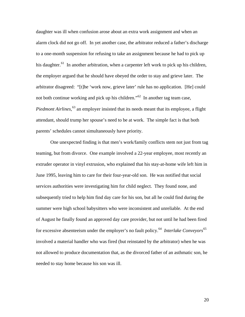daughter was ill when confusion arose about an extra work assignment and when an alarm clock did not go off. In yet another case, the arbitrator reduced a father's discharge to a one-month suspension for refusing to take an assignment because he had to pick up his daughter.<sup>[61](#page-82-1)</sup> In another arbitration, when a carpenter left work to pick up his children, the employer argued that he should have obeyed the order to stay and grieve later. The arbitrator disagreed: "[t]he 'work now, grieve later' rule has no application. [He] could not both continue working and pick up his children."<sup>[6](#page-82-1)2</sup> In another tag team case, *Piedmont Airlines*,<sup>[6](#page-82-1)3</sup> an employer insisted that its needs meant that its employee, a flight attendant, should trump her spouse's need to be at work. The simple fact is that both parents' schedules cannot simultaneously have priority.

One unexpected finding is that men's work/family conflicts stem not just from tag teaming, but from divorce. One example involved a 22-year employee, most recently an extruder operator in vinyl extrusion, who explained that his stay-at-home wife left him in June 1995, leaving him to care for their four-year-old son. He was notified that social services authorities were investigating him for child neglect. They found none, and subsequently tried to help him find day care for his son, but all he could find during the summer were high school babysitters who were inconsistent and unreliable. At the end of August he finally found an approved day care provider, but not until he had been fired for excessive absenteeism under the employer's no fault policy.[6](#page-82-1)4 *Interlake Conveyors*[6](#page-82-1)5 involved a material handler who was fired (but reinstated by the arbitrator) when he was not allowed to produce documentation that, as the divorced father of an asthmatic son, he needed to stay home because his son was ill.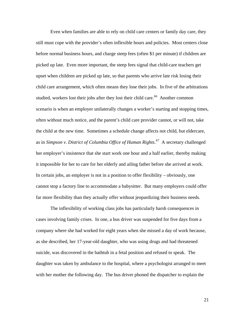Even when families are able to rely on child care centers or family day care, they still must cope with the provider's often inflexible hours and policies. Most centers close before normal business hours, and charge steep fees (often \$1 per minute) if children are picked up late. Even more important, the steep fees signal that child-care teachers get upset when children are picked up late, so that parents who arrive late risk losing their child care arrangement, which often means they lose their jobs. In five of the arbitrations studied, workers lost their jobs after they lost their child care.<sup>[6](#page-82-1)6</sup> Another common scenario is when an employer unilaterally changes a worker's starting and stopping times, often without much notice, and the parent's child care provider cannot, or will not, take the child at the new time. Sometimes a schedule change affects not child, but eldercare, as in *Simpson v. District of Columbia Office of Human Rights*. [67](#page-82-1) A secretary challenged her employer's insistence that she start work one hour and a half earlier, thereby making it impossible for her to care for her elderly and ailing father before she arrived at work. In certain jobs, an employer is not in a position to offer flexibility – obviously, one cannot stop a factory line to accommodate a babysitter. But many employers could offer far more flexibility than they actually offer without jeopardizing their business needs.

The inflexibility of working class jobs has particularly harsh consequences in cases involving family crises. In one, a bus driver was suspended for five days from a company where she had worked for eight years when she missed a day of work because, as she described, her 17-year-old daughter, who was using drugs and had threatened suicide, was discovered in the bathtub in a fetal position and refused to speak. The daughter was taken by ambulance to the hospital, where a psychologist arranged to meet with her mother the following day. The bus driver phoned the dispatcher to explain the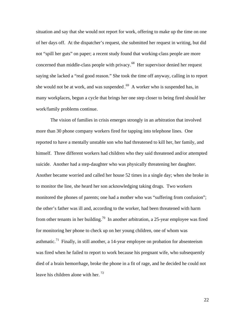situation and say that she would not report for work, offering to make up the time on one of her days off. At the dispatcher's request, she submitted her request in writing, but did not "spill her guts" on paper; a recent study found that working-class people are more concerned than middle-class people with privacy.[6](#page-82-1)8 Her supervisor denied her request saying she lacked a "real good reason." She took the time off anyway, calling in to report she would not be at work, and was suspended  $.69$  $.69$  A worker who is suspended has, in many workplaces, begun a cycle that brings her one step closer to being fired should her work/family problems continue.

The vision of families in crisis emerges strongly in an arbitration that involved more than 30 phone company workers fired for tapping into telephone lines. One reported to have a mentally unstable son who had threatened to kill her, her family, and himself. Three different workers had children who they said threatened and/or attempted suicide. Another had a step-daughter who was physically threatening her daughter. Another became worried and called her house 52 times in a single day; when she broke in to monitor the line, she heard her son acknowledging taking drugs. Two workers monitored the phones of parents; one had a mother who was "suffering from confusion"; the other's father was ill and, according to the worker, had been threatened with harm from other tenants in her building.<sup>[7](#page-82-1)0</sup> In another arbitration, a 25-year employee was fired for monitoring her phone to check up on her young children, one of whom was asthmatic.<sup>[71](#page-82-1)</sup> Finally, in still another, a 14-year employee on probation for absenteeism was fired when he failed to report to work because his pregnant wife, who subsequently died of a brain hemorrhage, broke the phone in a fit of rage, and he decided he could not leave his children alone with her.  $72$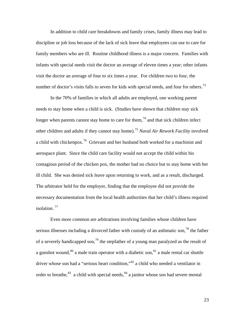In addition to child care breakdowns and family crises, family illness may lead to discipline or job loss because of the lack of sick leave that employees can use to care for family members who are ill. Routine childhood illness is a major concern. Families with infants with special needs visit the doctor an average of eleven times a year; other infants visit the doctor an average of four to six times a year. For children two to four, the number of doctor's visits falls to seven for kids with special needs, and four for others.<sup>[73](#page-82-1)</sup>

In the 70% of families in which all adults are employed, one working parent needs to stay home when a child is sick. (Studies have shown that children stay sick longer when parents cannot stay home to care for them,<sup>[7](#page-82-1)4</sup> and that sick children infect other children and adults if they cannot stay home).[7](#page-82-1)5 *Naval Air Rework Facility* involved a child with chickenpox.[7](#page-82-1)6 Grievant and her husband both worked for a machinist and aerospace plant. Since the child care facility would not accept the child within his contagious period of the chicken pox, the mother had no choice but to stay home with her ill child. She was denied sick leave upon returning to work, and as a result, discharged. The arbitrator held for the employer, finding that the employee did not provide the necessary documentation from the local health authorities that her child's illness required isolation.  $77$ 

Even more common are arbitrations involving families whose children have serious illnesses including a divorced father with custody of an asthmatic son,  $^{78}$  $^{78}$  $^{78}$  the father of a severely handicapped son,<sup>[7](#page-82-1)9</sup> the stepfather of a young man paralyzed as the result of a gunshot wound,<sup>[80](#page-82-1)</sup> a male train operator with a diabetic son,  $81$  $81$  a male rental car shuttle driver whose son had a "serious heart condition,"[8](#page-82-1)2 a child who needed a ventilator in order to breathe,  $83$  a child with special needs,  $84$  $84$  a janitor whose son had severe mental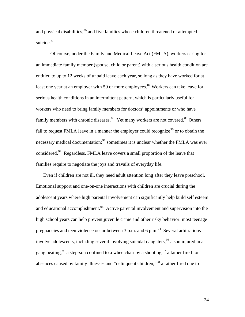and physical disabilities,<sup>[85](#page-82-1)</sup> and five families whose children threatened or attempted suicide.<sup>[86](#page-82-1)</sup>

Of course, under the Family and Medical Leave Act (FMLA), workers caring for an immediate family member (spouse, child or parent) with a serious health condition are entitled to up to 12 weeks of unpaid leave each year, so long as they have worked for at least one year at an employer with 50 or more employees.<sup>[8](#page-82-1)7</sup> Workers can take leave for serious health conditions in an intermittent pattern, which is particularly useful for workers who need to bring family members for doctors' appointments or who have family members with chronic diseases.<sup>[88](#page-82-1)</sup> Yet many workers are not covered.<sup>[89](#page-82-1)</sup> Others fail to request FMLA leave in a manner the employer could recognize<sup>[9](#page-82-1)0</sup> or to obtain the necessary medical documentation;<sup>[91](#page-82-1)</sup> sometimes it is unclear whether the FMLA was ever considered.<sup>[92](#page-82-1)</sup> Regardless, FMLA leave covers a small proportion of the leave that families require to negotiate the joys and travails of everyday life.

Even if children are not ill, they need adult attention long after they leave preschool. Emotional support and one-on-one interactions with children are crucial during the adolescent years where high parental involvement can significantly help build self esteem and educational accomplishment.<sup>[93](#page-82-1)</sup> Active parental involvement and supervision into the high school years can help prevent juvenile crime and other risky behavior: most teenage pregnancies and teen violence occur between 3 p.m. and 6 p.m.<sup>[9](#page-82-1)4</sup> Several arbitrations involve adolescents, including several involving suicidal daughters,  $^{95}$  $^{95}$  $^{95}$  a son injured in a gang beating,  $96$  $96$  a step-son confined to a wheelchair by a shooting,  $97$  a father fired for absences caused by family illnesses and "delinquent children,"[98](#page-82-1) a father fired due to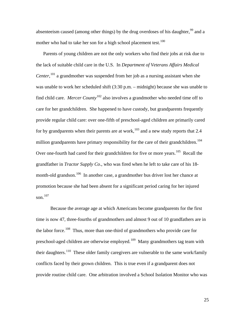absenteeism caused (among other things) by the drug overdoses of his daughter,<sup>[9](#page-82-1)9</sup> and a mother who had to take her son for a high school placement test.<sup>[10](#page-82-1)0</sup>

Parents of young children are not the only workers who find their jobs at risk due to the lack of suitable child care in the U.S. In *Department of Veterans Affairs Medical Center*, [1](#page-82-1)01 a grandmother was suspended from her job as a nursing assistant when she was unable to work her scheduled shift (3:30 p.m. – midnight) because she was unable to find child care. *Mercer County*[10](#page-82-1)2 also involves a grandmother who needed time off to care for her grandchildren. She happened to have custody, but grandparents frequently provide regular child care: over one-fifth of preschool-aged children are primarily cared for by grandparents when their parents are at work, $103$  $103$  and a new study reports that 2.4 million grandparents have primary responsibility for the care of their grandchildren.<sup>[1](#page-82-1)04</sup> Over one-fourth had cared for their grandchildren for five or more years.<sup>[10](#page-82-1)5</sup> Recall the grandfather in *Tractor Supply Co*., who was fired when he left to take care of his 18- month-old grandson.<sup>[10](#page-82-1)6</sup> In another case, a grandmother bus driver lost her chance at promotion because she had been absent for a significant period caring for her injured son.<sup>[1](#page-82-1)07</sup>

Because the average age at which Americans become grandparents for the first time is now 47, three-fourths of grandmothers and almost 9 out of 10 grandfathers are in the labor force.<sup>[1](#page-82-1)08</sup> Thus, more than one-third of grandmothers who provide care for preschool-aged children are otherwise employed.[10](#page-82-1)9 Many grandmothers tag team with their daughters.<sup>[1](#page-82-1)10</sup> These older family caregivers are vulnerable to the same work/family conflicts faced by their grown children. This is true even if a grandparent does not provide routine child care. One arbitration involved a School Isolation Monitor who was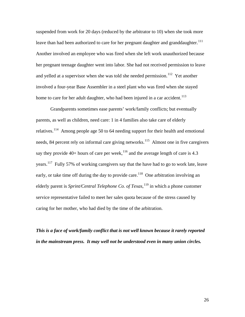suspended from work for 20 days (reduced by the arbitrator to 10) when she took more leave than had been authorized to care for her pregnant daughter and granddaughter.<sup>[1](#page-82-1)11</sup> Another involved an employee who was fired when she left work unauthorized because her pregnant teenage daughter went into labor. She had not received permission to leave and yelled at a supervisor when she was told she needed permission.<sup>[1](#page-82-1)12</sup> Yet another involved a four-year Base Assembler in a steel plant who was fired when she stayed home to care for her adult daughter, who had been injured in a car accident.<sup>[11](#page-82-1)3</sup>

Grandparents sometimes ease parents' work/family conflicts; but eventually parents, as well as children, need care: 1 in 4 families also take care of elderly relatives.<sup>[1](#page-82-1)14</sup> Among people age 50 to 64 needing support for their health and emotional needs, 84 percent rely on informal care giving networks.<sup>[11](#page-82-1)5</sup> Almost one in five caregivers say they provide  $40+$  hours of care per week,  $116$  $116$  and the average length of care is 4.3 years.<sup>[11](#page-82-1)7</sup> Fully 57% of working caregivers say that the have had to go to work late, leave early, or take time off during the day to provide care.<sup>[1](#page-82-1)18</sup> One arbitration involving an elderly parent is *Sprint/Central Telephone Co. of Texas*, [1](#page-82-1)19 in which a phone customer service representative failed to meet her sales quota because of the stress caused by caring for her mother, who had died by the time of the arbitration.

*This is a face of work/family conflict that is not well known because it rarely reported in the mainstream press. It may well not be understood even in many union circles.*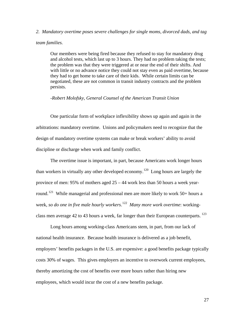# *2. Mandatory overtime poses severe challenges for single moms, divorced dads, and tag*

#### *team families.*

Our members were being fired because they refused to stay for mandatory drug and alcohol tests, which last up to 3 hours. They had no problem taking the tests; the problem was that they were triggered at or near the end of their shifts. And with little or no advance notice they could not stay even as paid overtime, because they had to get home to take care of their kids. While certain limits can be negotiated, these are not common in transit industry contracts and the problem persists.

#### *-Robert Molofsky, General Counsel of the American Transit Union*

One particular form of workplace inflexibility shows up again and again in the arbitrations: mandatory overtime. Unions and policymakers need to recognize that the design of mandatory overtime systems can make or break workers' ability to avoid discipline or discharge when work and family conflict.

The overtime issue is important, in part, because Americans work longer hours than workers in virtually any other developed economy.<sup>[1](#page-82-1)20</sup> Long hours are largely the province of men: 95% of mothers aged 25 – 44 work less than 50 hours a week year-round.<sup>[12](#page-82-1)1</sup> While managerial and professional men are more likely to work 50+ hours a week, *so do one in five male hourly workers*. [12](#page-82-1)2 *Many more work overtime*: workingclass men average 42 to 43 hours a week, far longer than their European counterparts.  $^{123}$  $^{123}$  $^{123}$ 

Long hours among working-class Americans stem, in part, from our lack of national health insurance. Because health insurance is delivered as a job benefit, employers' benefits packages in the U.S. are expensive: a good benefits package typically costs 30% of wages. This gives employers an incentive to overwork current employees, thereby amortizing the cost of benefits over more hours rather than hiring new employees, which would incur the cost of a new benefits package.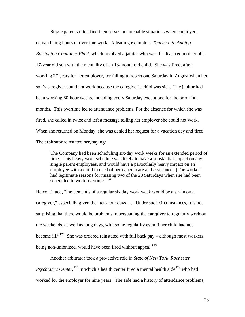Single parents often find themselves in untenable situations when employers demand long hours of overtime work. A leading example is *Tenneco Packaging Burlington Container Plant*, which involved a janitor who was the divorced mother of a 17-year old son with the mentality of an 18-month old child. She was fired, after working 27 years for her employer, for failing to report one Saturday in August when her son's caregiver could not work because the caregiver's child was sick. The janitor had been working 60-hour weeks, including every Saturday except one for the prior four months. This overtime led to attendance problems. For the absence for which she was fired, she called in twice and left a message telling her employer she could not work. When she returned on Monday, she was denied her request for a vacation day and fired. The arbitrator reinstated her, saying:

The Company had been scheduling six-day work weeks for an extended period of time. This heavy work schedule was likely to have a substantial impact on any single parent employees, and would have a particularly heavy impact on an employee with a child in need of permanent care and assistance. [The worker] had legitimate reasons for missing two of the 23 Saturdays when she had been scheduled to work overtime.<sup>[1](#page-82-1)24</sup>

He continued, "the demands of a regular six day work week would be a strain on a caregiver," especially given the "ten-hour days. . . . Under such circumstances, it is not surprising that there would be problems in persuading the caregiver to regularly work on the weekends, as well as long days, with some regularity even if her child had not become ill."<sup>[1](#page-82-1)25</sup> She was ordered reinstated with full back pay – although most workers, being non-unionized, would have been fired without appeal.<sup>[1](#page-82-1)26</sup>

Another arbitrator took a pro-active role in *State of New York, Rochester Psychiatric Center*, <sup>[12](#page-82-1)7</sup> in which a health center fired a mental health aide<sup>[1](#page-82-1)28</sup> who had worked for the employer for nine years. The aide had a history of attendance problems,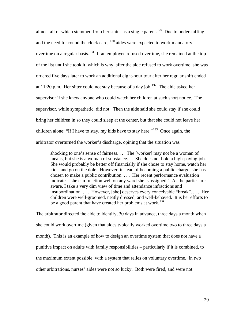almost all of which stemmed from her status as a single parent.<sup>[1](#page-82-1)29</sup> Due to understaffing and the need for round the clock care,  $130$  $130$  aides were expected to work mandatory overtime on a regular basis.<sup>[13](#page-82-1)1</sup> If an employee refused overtime, she remained at the top of the list until she took it, which is why, after the aide refused to work overtime, she was ordered five days later to work an additional eight-hour tour after her regular shift ended at [1](#page-82-1)1:20 p.m. Her sitter could not stay because of a day job.<sup>132</sup> The aide asked her supervisor if she knew anyone who could watch her children at such short notice. The supervisor, while sympathetic, did not. Then the aide said she could stay if she could bring her children in so they could sleep at the center, but that she could not leave her children alone: "If I have to stay, my kids have to stay here."<sup>[1](#page-82-1)33</sup> Once again, the arbitrator overturned the worker's discharge, opining that the situation was

shocking to one's sense of fairness. . . . The [worker] may not be a woman of means, but she is a woman of substance. . . She does not hold a high-paying job. She would probably be better off financially if she chose to stay home, watch her kids, and go on the dole. However, instead of becoming a public charge, she has chosen to make a public contribution. . . . Her recent performance evaluation indicates "she can function well on any ward she is assigned." As the parties are aware, I take a very dim view of time and attendance infractions and insubordination. . . . However, [she] deserves every conceivable "break". . . . Her children were well-groomed, neatly dressed, and well-behaved. It is her efforts to be a good parent that have created her problems at work.<sup>[13](#page-82-1)4</sup>

The arbitrator directed the aide to identify, 30 days in advance, three days a month when she could work overtime (given that aides typically worked overtime two to three days a month). This is an example of how to design an overtime system that does not have a punitive impact on adults with family responsibilities – particularly if it is combined, to the maximum extent possible, with a system that relies on voluntary overtime. In two other arbitrations, nurses' aides were not so lucky. Both were fired, and were not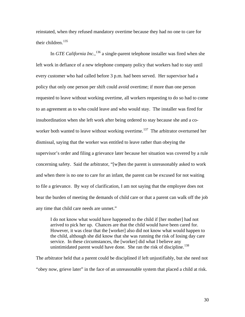reinstated, when they refused mandatory overtime because they had no one to care for their children.<sup>[13](#page-82-1)5</sup>

In *GTE California Inc.*, [13](#page-82-1)6 a single-parent telephone installer was fired when she left work in defiance of a new telephone company policy that workers had to stay until every customer who had called before 3 p.m. had been served. Her supervisor had a policy that only one person per shift could avoid overtime; if more than one person requested to leave without working overtime, all workers requesting to do so had to come to an agreement as to who could leave and who would stay. The installer was fired for insubordination when she left work after being ordered to stay because she and a co-worker both wanted to leave without working overtime.<sup>[1](#page-82-1)37</sup> The arbitrator overturned her dismissal, saying that the worker was entitled to leave rather than obeying the supervisor's order and filing a grievance later because her situation was covered by a rule concerning safety. Said the arbitrator, "[w]hen the parent is unreasonably asked to work and when there is no one to care for an infant, the parent can be excused for not waiting to file a grievance. By way of clarification, I am not saying that the employee does not bear the burden of meeting the demands of child care or that a parent can walk off the job any time that child care needs are unmet."

I do not know what would have happened to the child if [her mother] had not arrived to pick her up. Chances are that the child would have been cared for. However, it was clear that the [worker] also did not know what would happen to the child, although she did know that she was running the risk of losing day care service. In these circumstances, the [worker] did what I believe any unintimidated parent would have done. She ran the risk of discipline.<sup>[13](#page-82-1)8</sup>

The arbitrator held that a parent could be disciplined if left unjustifiably, but she need not "obey now, grieve later" in the face of an unreasonable system that placed a child at risk.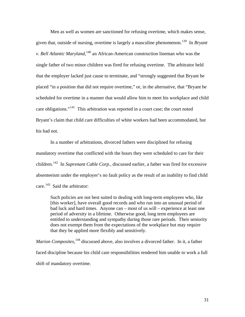Men as well as women are sanctioned for refusing overtime, which makes sense, given that, outside of nursing, overtime is largely a masculine phenomenon.[13](#page-82-1)9 In *Bryant v. Bell Atlantic Maryland*, <sup>[14](#page-82-1)0</sup> an African-American construction lineman who was the single father of two minor children was fired for refusing overtime. The arbitrator held that the employer lacked just cause to terminate, and "strongly suggested that Bryant be placed "in a position that did not require overtime," or, in the alternative, that "Bryant be scheduled for overtime in a manner that would allow him to meet his workplace and child care obligations."<sup>[1](#page-82-1)41</sup> This arbitration was reported in a court case; the court noted Bryant's claim that child care difficulties of white workers had been accommodated, but his had not.

In a number of arbitrations, divorced fathers were disciplined for refusing mandatory overtime that conflicted with the hours they were scheduled to care for their children.[14](#page-82-1)2 In *Suprenant Cable Corp.*, discussed earlier, a father was fired for excessive absenteeism under the employer's no fault policy as the result of an inability to find child care.<sup>[1](#page-82-1)43</sup> Said the arbitrator:

Such policies are not best suited to dealing with long-term employees who, like [this worker], have overall good records and who run into an unusual period of bad luck and hard times. Anyone can – most of us will – experience at least one period of adversity in a lifetime. Otherwise good, long term employees are entitled to understanding and sympathy during those rare periods. Their seniority does not exempt them from the expectations of the workplace but may require that they be applied more flexibly and sensitively.

*Marion Composites*, <sup>[1](#page-82-1)44</sup> discussed above, also involves a divorced father. In it, a father faced discipline because his child care responsibilities rendered him unable to work a full shift of mandatory overtime.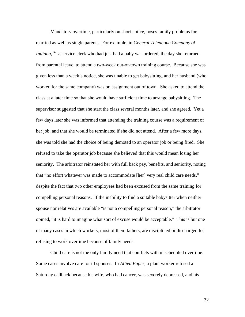Mandatory overtime, particularly on short notice, poses family problems for married as well as single parents. For example, in *General Telephone Company of Indiana*, <sup>[14](#page-82-1)5</sup> a service clerk who had just had a baby was ordered, the day she returned from parental leave, to attend a two-week out-of-town training course. Because she was given less than a week's notice, she was unable to get babysitting, and her husband (who worked for the same company) was on assignment out of town. She asked to attend the class at a later time so that she would have sufficient time to arrange babysitting. The supervisor suggested that she start the class several months later, and she agreed. Yet a few days later she was informed that attending the training course was a requirement of her job, and that she would be terminated if she did not attend. After a few more days, she was told she had the choice of being demoted to an operator job or being fired. She refused to take the operator job because she believed that this would mean losing her seniority. The arbitrator reinstated her with full back pay, benefits, and seniority, noting that "no effort whatever was made to accommodate [her] very real child care needs," despite the fact that two other employees had been excused from the same training for compelling personal reasons. If the inability to find a suitable babysitter when neither spouse nor relatives are available "is not a compelling personal reason," the arbitrator opined, "it is hard to imagine what sort of excuse would be acceptable." This is but one of many cases in which workers, most of them fathers, are disciplined or discharged for refusing to work overtime because of family needs.

Child care is not the only family need that conflicts with unscheduled overtime. Some cases involve care for ill spouses. In *Allied Paper,* a plant worker refused a Saturday callback because his wife, who had cancer, was severely depressed, and his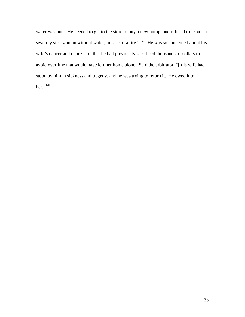water was out. He needed to get to the store to buy a new pump, and refused to leave "a severely sick woman without water, in case of a fire." <sup>[14](#page-82-1)6</sup> He was so concerned about his wife's cancer and depression that he had previously sacrificed thousands of dollars to avoid overtime that would have left her home alone. Said the arbitrator, "[h]is wife had stood by him in sickness and tragedy, and he was trying to return it. He owed it to her." $^{147}$  $^{147}$  $^{147}$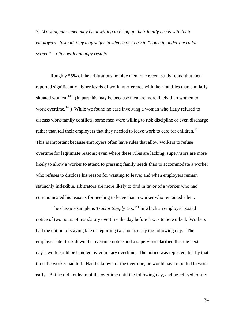*3. Working class men may be unwilling to bring up their family needs with their employers. Instead, they may suffer in silence or to try to "come in under the radar screen" – often with unhappy results.*

Roughly 55% of the arbitrations involve men: one recent study found that men reported significantly higher levels of work interference with their families than similarly situated women.<sup>[1](#page-82-1)48</sup> (In part this may be because men are more likely than women to work overtime.<sup>[14](#page-82-1)9</sup>) While we found no case involving a woman who flatly refused to discuss work/family conflicts, some men were willing to risk discipline or even discharge rather than tell their employers that they needed to leave work to care for children.<sup>[1](#page-82-1)50</sup> This is important because employers often have rules that allow workers to refuse overtime for legitimate reasons; even where these rules are lacking, supervisors are more likely to allow a worker to attend to pressing family needs than to accommodate a worker who refuses to disclose his reason for wanting to leave; and when employers remain staunchly inflexible, arbitrators are more likely to find in favor of a worker who had communicated his reasons for needing to leave than a worker who remained silent.

The classic example is *Tractor Supply Co.*,<sup>[1](#page-82-1)51</sup> in which an employer posted notice of two hours of mandatory overtime the day before it was to be worked. Workers had the option of staying late or reporting two hours early the following day. The employer later took down the overtime notice and a supervisor clarified that the next day's work could be handled by voluntary overtime. The notice was reposted, but by that time the worker had left. Had he known of the overtime, he would have reported to work early. But he did not learn of the overtime until the following day, and he refused to stay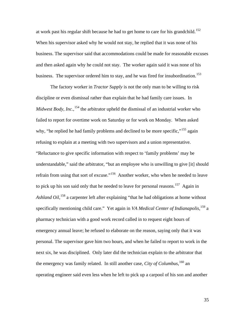at work past his regular shift because he had to get home to care for his grandchild.<sup>[15](#page-82-1)2</sup> When his supervisor asked why he would not stay, he replied that it was none of his business. The supervisor said that accommodations could be made for reasonable excuses and then asked again why he could not stay. The worker again said it was none of his business. The supervisor ordered him to stay, and he was fired for insubordination.<sup>[1](#page-82-1)53</sup>

The factory worker in *Tractor Supply* is not the only man to be willing to risk discipline or even dismissal rather than explain that he had family care issues. In *Midwest Body, Inc.*, <sup>[1](#page-82-1)54</sup> the arbitrator upheld the dismissal of an industrial worker who failed to report for overtime work on Saturday or for work on Monday. When asked why, "he replied he had family problems and declined to be more specific,"<sup>[15](#page-82-1)5</sup> again refusing to explain at a meeting with two supervisors and a union representative. "Reluctance to give specific information with respect to 'family problems' may be understandable," said the arbitrator, "but an employee who is unwilling to give [it] should refrain from using that sort of excuse."<sup>[15](#page-82-1)6</sup> Another worker, who when he needed to leave to pick up his son said only that he needed to leave for personal reasons.<sup>[1](#page-82-1)57</sup> Again in *Ashland Oil*, [1](#page-82-1)58 a carpenter left after explaining "that he had obligations at home without specifically mentioning child care." Yet again in *VA Medical Center of Indianapolis*,<sup>[1](#page-82-1)59</sup> a pharmacy technician with a good work record called in to request eight hours of emergency annual leave; he refused to elaborate on the reason, saying only that it was personal. The supervisor gave him two hours, and when he failed to report to work in the next six, he was disciplined. Only later did the technician explain to the arbitrator that the emergency was family related. In still another case, *City of Columbus*, <sup>[1](#page-82-1)60</sup> an operating engineer said even less when he left to pick up a carpool of his son and another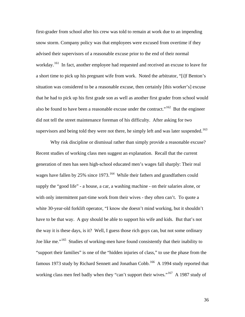first-grader from school after his crew was told to remain at work due to an impending snow storm. Company policy was that employees were excused from overtime if they advised their supervisors of a reasonable excuse prior to the end of their normal workday.<sup>[16](#page-82-0)1</sup> In fact, another employee had requested and received an excuse to leave for a short time to pick up his pregnant wife from work. Noted the arbitrator, "[i]f Benton's situation was considered to be a reasonable excuse, then certainly [this worker's] excuse that he had to pick up his first grade son as well as another first grader from school would also be found to have been a reasonable excuse under the contract."<sup>[1](#page-82-0)62</sup> But the engineer did not tell the street maintenance foreman of his difficulty. After asking for two supervisors and being told they were not there, he simply left and was later suspended.<sup>[1](#page-82-0)63</sup>

Why risk discipline or dismissal rather than simply provide a reasonable excuse? Recent studies of working class men suggest an explanation. Recall that the current generation of men has seen high-school educated men's wages fall sharply: Their real wages have fallen by 25% since [1](#page-82-0)973.<sup>164</sup> While their fathers and grandfathers could supply the "good life" - a house, a car, a washing machine - on their salaries alone, or with only intermittent part-time work from their wives - they often can't. To quote a white 30-year-old forklift operator, "I know she doesn't mind working, but it shouldn't have to be that way. A guy should be able to support his wife and kids. But that's not the way it is these days, is it? Well, I guess those rich guys can, but not some ordinary Joe like me."<sup>[16](#page-82-0)5</sup> Studies of working-men have found consistently that their inability to "support their families" is one of the "hidden injuries of class," to use the phase from the famous 1973 study by Richard Sennett and Jonathan Cobb.<sup>[16](#page-82-0)6</sup> A 1994 study reported that working class men feel badly when they "can't support their wives."<sup>[16](#page-82-0)7</sup> A 1987 study of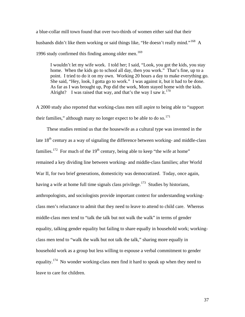a blue-collar mill town found that over two-thirds of women either said that their husbands didn't like them working or said things like, "He doesn't really mind."<sup>[1](#page-82-0)68</sup> A 1996 study confirmed this finding among older men.<sup>[16](#page-82-0)9</sup>

I wouldn't let my wife work. I told her; I said, "Look, you got the kids, you stay home. When the kids go to school all day, then you work." That's fine, up to a point. I tried to do it on my own. Working 20 hours a day to make everything go. She said, "Hey, look, I gotta go to work." I was against it, but it had to be done. As far as I was brought up, Pop did the work, Mom stayed home with the kids. Alright? I was raised that way, and that's the way I saw it. $170$  $170$ 

A 2000 study also reported that working-class men still aspire to being able to "support their families," although many no longer expect to be able to do so.<sup>[17](#page-82-0)1</sup>

 These studies remind us that the housewife as a cultural type was invented in the late  $18<sup>th</sup>$  century as a way of signaling the difference between working- and middle-class families.<sup>[1](#page-82-0)72</sup> For much of the 19<sup>th</sup> century, being able to keep "the wife at home" remained a key dividing line between working- and middle-class families; after World War II, for two brief generations, domesticity was democratized. Today, once again, having a wife at home full time signals class privilege.<sup>[17](#page-82-0)3</sup> Studies by historians, anthropologists, and sociologists provide important context for understanding workingclass men's reluctance to admit that they need to leave to attend to child care. Whereas middle-class men tend to "talk the talk but not walk the walk" in terms of gender equality, talking gender equality but failing to share equally in household work; workingclass men tend to "walk the walk but not talk the talk," sharing more equally in household work as a group but less willing to espouse a verbal commitment to gender equality.<sup>[1](#page-82-0)74</sup> No wonder working-class men find it hard to speak up when they need to leave to care for children.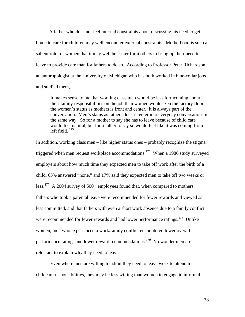A father who does not feel internal constraints about discussing his need to get home to care for children may well encounter external constraints. Motherhood is such a salient role for women that it may well be easier for mothers to bring up their need to leave to provide care than for fathers to do so. According to Professor Peter Richardson, an anthropologist at the University of Michigan who has both worked in blue-collar jobs and studied them,

It makes sense to me that working class men would be less forthcoming about their family responsibilities on the job than women would. On the factory floor, the women's status as mothers is front and center. It is always part of the conversation. Men's status as fathers doesn't enter into everyday conversations in the same way. So for a mother to say she has to leave because of child care would feel natural, but for a father to say so would feel like it was coming from left field.  $175$  $175$ 

In addition, working class men – like higher status ones – probably recognize the stigma triggered when men request workplace accommodations.<sup>[1](#page-82-0)76</sup> When a 1986 study surveyed employers about how much time they expected men to take off work after the birth of a child, 63% answered "none," and 17% said they expected men to take off two weeks or less.<sup>[17](#page-82-0)7</sup> A 2004 survey of 500+ employees found that, when compared to mothers, fathers who took a parental leave were recommended for fewer rewards and viewed as less committed, and that fathers with even a short work absence due to a family conflict were recommended for fewer rewards and had lower performance ratings.<sup>[1](#page-82-0)78</sup> Unlike women, men who experienced a work/family conflict encountered lower overall performance ratings and lower reward recommendations.<sup>[1](#page-82-0)79</sup> No wonder men are reluctant to explain why they need to leave.

Even where men are willing to admit they need to leave work to attend to childcare responsibilities, they may be less willing than women to engage in informal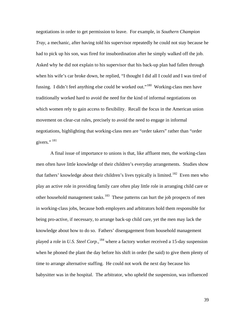negotiations in order to get permission to leave. For example, in *Southern Champion Tray*, a mechanic, after having told his supervisor repeatedly he could not stay because he had to pick up his son, was fired for insubordination after he simply walked off the job. Asked why he did not explain to his supervisor that his back-up plan had fallen through when his wife's car broke down, he replied, "I thought I did all I could and I was tired of fussing. I didn't feel anything else could be worked out."[1](#page-82-0)80 Working-class men have traditionally worked hard to avoid the need for the kind of informal negotiations on which women rely to gain access to flexibility. Recall the focus in the American union movement on clear-cut rules, precisely to avoid the need to engage in informal negotiations, highlighting that working-class men are "order takers" rather than "order givers."<sup>[1](#page-82-0)81</sup>

A final issue of importance to unions is that, like affluent men, the working-class men often have little knowledge of their children's everyday arrangements. Studies show that fathers' knowledge about their children's lives typically is limited.<sup>[1](#page-82-0)82</sup> Even men who play an active role in providing family care often play little role in arranging child care or other household management tasks.<sup>[18](#page-82-0)3</sup> These patterns can hurt the job prospects of men in working-class jobs, because both employers and arbitrators hold them responsible for being pro-active, if necessary, to arrange back-up child care, yet the men may lack the knowledge about how to do so. Fathers' disengagement from household management played a role in *U.S. Steel Corp.*, [1](#page-82-0)84 where a factory worker received a 15-day suspension when he phoned the plant the day before his shift in order (he said) to give them plenty of time to arrange alternative staffing. He could not work the next day because his babysitter was in the hospital. The arbitrator, who upheld the suspension, was influenced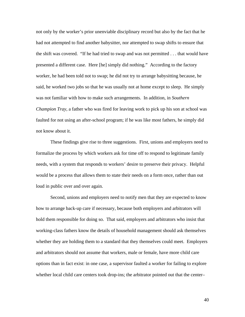not only by the worker's prior unenviable disciplinary record but also by the fact that he had not attempted to find another babysitter, nor attempted to swap shifts to ensure that the shift was covered. "If he had tried to swap and was not permitted . . . that would have presented a different case. Here [he] simply did nothing." According to the factory worker, he had been told not to swap; he did not try to arrange babysitting because, he said, he worked two jobs so that he was usually not at home except to sleep. He simply was not familiar with how to make such arrangements. In addition, in *Southern Champion Tray,* a father who was fired for leaving work to pick up his son at school was faulted for not using an after-school program; if he was like most fathers, he simply did not know about it.

These findings give rise to three suggestions. First, unions and employers need to formalize the process by which workers ask for time off to respond to legitimate family needs, with a system that responds to workers' desire to preserve their privacy. Helpful would be a process that allows them to state their needs on a form once, rather than out loud in public over and over again.

Second, unions and employers need to notify men that they are expected to know how to arrange back-up care if necessary, because both employers and arbitrators will hold them responsible for doing so. That said, employers and arbitrators who insist that working-class fathers know the details of household management should ask themselves whether they are holding them to a standard that they themselves could meet. Employers and arbitrators should not assume that workers, male or female, have more child care options than in fact exist: in one case, a supervisor faulted a worker for failing to explore whether local child care centers took drop-ins; the arbitrator pointed out that the center–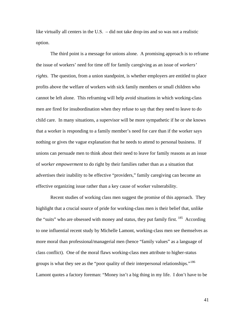like virtually all centers in the U.S. – did not take drop-ins and so was not a realistic option.

The third point is a message for unions alone. A promising approach is to reframe the issue of workers' need for time off for family caregiving as an issue of *workers' rights*. The question, from a union standpoint, is whether employers are entitled to place profits above the welfare of workers with sick family members or small children who cannot be left alone. This reframing will help avoid situations in which working-class men are fired for insubordination when they refuse to say that they need to leave to do child care. In many situations, a supervisor will be more sympathetic if he or she knows that a worker is responding to a family member's need for care than if the worker says nothing or gives the vague explanation that he needs to attend to personal business. If unions can persuade men to think about their need to leave for family reasons as an issue of *worker empowerment* to do right by their families rather than as a situation that advertises their inability to be effective "providers," family caregiving can become an effective organizing issue rather than a key cause of worker vulnerability.

Recent studies of working class men suggest the promise of this approach. They highlight that a crucial source of pride for working-class men is their belief that, unlike the "suits" who are obsessed with money and status, they put family first. <sup>[1](#page-82-0)85</sup> According to one influential recent study by Michelle Lamont, working-class men see themselves as more moral than professional/managerial men (hence "family values" as a language of class conflict). One of the moral flaws working-class men attribute to higher-status groups is what they see as the "poor quality of their interpersonal relationships."<sup>[1](#page-82-0)86</sup> Lamont quotes a factory foreman: "Money isn't a big thing in my life. I don't have to be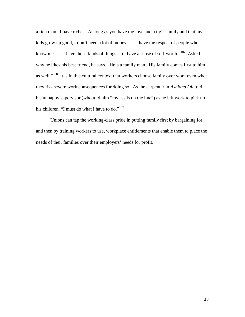a rich man. I have riches. As long as you have the love and a tight family and that my kids grow up good, I don't need a lot of money. . . . I have the respect of people who know me.... I have those kinds of things, so I have a sense of self-worth."<sup>[1](#page-82-0)87</sup> Asked why he likes his best friend, he says, "He's a family man. His family comes first to him as well."<sup>[1](#page-82-0)88</sup> It is in this cultural context that workers choose family over work even when they risk severe work consequences for doing so. As the carpenter in *Ashland Oil* told his unhappy supervisor (who told him "my ass is on the line") as he left work to pick up his children, "I must do what I have to do."<sup>[1](#page-82-0)89</sup>

Unions can tap the working-class pride in putting family first by bargaining for, and then by training workers to use, workplace entitlements that enable them to place the needs of their families over their employers' needs for profit.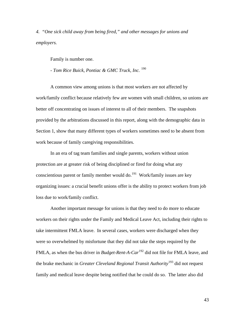*4. "One sick child away from being fired," and other messages for unions and employers.*

Family is number one.

*- Tom Rice Buick, Pontiac & GMC Truck, Inc.* [1](#page-82-0)90

A common view among unions is that most workers are not affected by work/family conflict because relatively few are women with small children, so unions are better off concentrating on issues of interest to all of their members. The snapshots provided by the arbitrations discussed in this report, along with the demographic data in Section 1, show that many different types of workers sometimes need to be absent from work because of family caregiving responsibilities.

In an era of tag team families and single parents, workers without union protection are at greater risk of being disciplined or fired for doing what any conscientious parent or family member would do.<sup>[1](#page-82-0)91</sup> Work/family issues are key organizing issues: a crucial benefit unions offer is the ability to protect workers from job loss due to work/family conflict.

Another important message for unions is that they need to do more to educate workers on their rights under the Family and Medical Leave Act, including their rights to take intermittent FMLA leave. In several cases, workers were discharged when they were so overwhelmed by misfortune that they did not take the steps required by the FMLA, as when the bus driver in *Budget-Rent-A-Car*<sup>[1](#page-82-0)92</sup> did not file for FMLA leave, and the brake mechanic in *Greater Cleveland Regional Transit Authority*[1](#page-82-0)93 did not request family and medical leave despite being notified that he could do so. The latter also did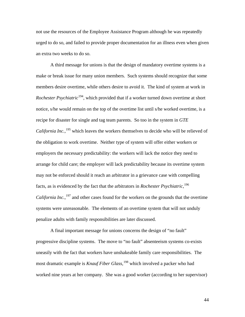not use the resources of the Employee Assistance Program although he was repeatedly urged to do so, and failed to provide proper documentation for an illness even when given an extra two weeks to do so.

A third message for unions is that the design of mandatory overtime systems is a make or break issue for many union members. Such systems should recognize that some members desire overtime, while others desire to avoid it. The kind of system at work in *Rochester Psychiatric*<sup>[1](#page-82-0)94</sup>, which provided that if a worker turned down overtime at short notice, s/he would remain on the top of the overtime list until s/he worked overtime, is a recipe for disaster for single and tag team parents. So too in the system in *GTE California Inc.*,<sup>[19](#page-82-0)5</sup> which leaves the workers themselves to decide who will be relieved of the obligation to work overtime. Neither type of system will offer either workers or employers the necessary predictability: the workers will lack the notice they need to arrange for child care; the employer will lack predictability because its overtime system may not be enforced should it reach an arbitrator in a grievance case with compelling facts, as is evidenced by the fact that the arbitrators in *Rochester Psychiatric,*[1](#page-82-0)96 California Inc.,<sup>[19](#page-82-0)7</sup> and other cases found for the workers on the grounds that the overtime systems were unreasonable. The elements of an overtime system that will not unduly penalize adults with family responsibilities are later discussed.

 A final important message for unions concerns the design of "no fault" progressive discipline systems. The move to "no fault" absenteeism systems co-exists uneasily with the fact that workers have unshakeable family care responsibilities. The most dramatic example is *Knauf Fiber Glass,*[19](#page-82-0)8 which involved a packer who had worked nine years at her company. She was a good worker (according to her supervisor)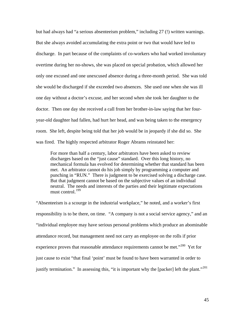but had always had "a serious absenteeism problem," including 27 (!) written warnings. But she always avoided accumulating the extra point or two that would have led to discharge. In part because of the complaints of co-workers who had worked involuntary overtime during her no-shows, she was placed on special probation, which allowed her only one excused and one unexcused absence during a three-month period. She was told she would be discharged if she exceeded two absences. She used one when she was ill one day without a doctor's excuse, and her second when she took her daughter to the doctor. Then one day she received a call from her brother-in-law saying that her fouryear-old daughter had fallen, had hurt her head, and was being taken to the emergency room. She left, despite being told that her job would be in jeopardy if she did so. She was fired. The highly respected arbitrator Roger Abrams reinstated her:

For more than half a century, labor arbitrators have been asked to review discharges based on the "just cause" standard. Over this long history, no mechanical formula has evolved for determining whether that standard has been met. An arbitrator cannot do his job simply by programming a computer and punching in "RUN." There is judgment to be exercised solving a discharge case. But that judgment cannot be based on the subjective values of an individual neutral. The needs and interests of the parties and their legitimate expectations must control.<sup>[19](#page-82-0)9</sup>

"Absenteeism is a scourge in the industrial workplace," he noted, and a worker's first responsibility is to be there, on time. "A company is not a social service agency," and an "individual employee may have serious personal problems which produce an abominable attendance record, but management need not carry an employee on the rolls if prior experience proves that reasonable attendance requirements cannot be met."<sup>[2](#page-82-0)00</sup> Yet for just cause to exist "that final 'point' must be found to have been warranted in order to justify termination." In assessing this, "it is important why the [packer] left the plant."<sup>[20](#page-82-0)1</sup>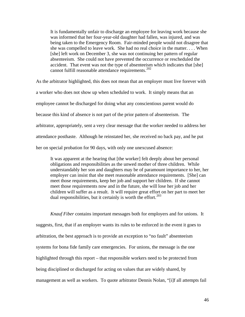It is fundamentally unfair to discharge an employee for leaving work because she was informed that her four-year-old daughter had fallen, was injured, and was being taken to the Emergency Room. Fair-minded people would not disagree that she was compelled to leave work. She had no real choice in the matter. . . . When [she] left work on December 3, she was not continuing her pattern of regular absenteeism. She could not have prevented the occurrence or rescheduled the accident. That event was not the type of absenteeism which indicates that [she] cannot fulfill reasonable attendance requirements.<sup>[2](#page-82-0)02</sup>

As the arbitrator highlighted, this does not mean that an employer must live forever with a worker who does not show up when scheduled to work. It simply means that an employee cannot be discharged for doing what any conscientious parent would do because this kind of absence is not part of the prior pattern of absenteeism. The arbitrator, appropriately, sent a very clear message that the worker needed to address her attendance posthaste. Although he reinstated her, she received no back pay, and he put her on special probation for 90 days, with only one unexcused absence:

It was apparent at the hearing that [the worker] felt deeply about her personal obligations and responsibilities as the unwed mother of three children. While understandably her son and daughters may be of paramount importance to her, her employer can insist that she meet reasonable attendance requirements. [She] can meet those requirements, keep her job and support her children. If she cannot meet those requirements now and in the future, she will lose her job and her children will suffer as a result. It will require great effort on her part to meet her dual responsibilities, but it certainly is worth the effort. $203$  $203$ 

*Knauf Fiber* contains important messages both for employers and for unions. It suggests, first, that if an employer wants its rules to be enforced in the event it goes to arbitration, the best approach is to provide an exception to "no fault" absenteeism systems for bona fide family care emergencies. For unions, the message is the one highlighted through this report – that responsible workers need to be protected from being disciplined or discharged for acting on values that are widely shared, by management as well as workers. To quote arbitrator Dennis Nolan, "[i]f all attempts fail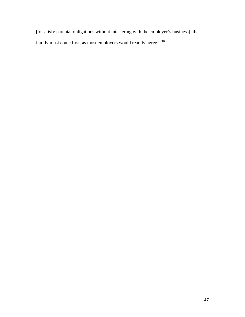[to satisfy parental obligations without interfering with the employer's business], the family must come first, as most employers would readily agree."<sup>[2](#page-82-0)04</sup>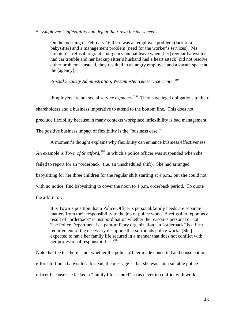#### *5. Employers' inflexibility can defeat their own business needs.*

On the morning of February 16 there was an employee problem (lack of a babysitter) and a management problem (need for the worker's services). Ms. Granico's [refusal to grant emergency annual leave when [her] regular babysitter had car trouble and her backup sitter's husband had a heart attack] did not resolve either problem. Instead, they resulted in an angry employee and a vacant space at the [agency].

## *-Social Security Administration, Westminster Teleservice Center*[2](#page-82-0)05

Employers are not social service agencies.<sup>[20](#page-82-0)6</sup> They have legal obligations to their shareholders and a business imperative to attend to the bottom line. This does not preclude flexibility because in many contexts workplace inflexibility is bad management. The positive business impact of flexibility is the "business case."

A moment's thought explains why flexibility can enhance business effectiveness. An example is *Town of Stratford*,<sup>[2](#page-82-0)07</sup> in which a police officer was suspended when she failed to report for an "orderback" (i.e. an unscheduled shift). She had arranged babysitting for her three children for the regular shift starting at 4 p.m., but she could not, with no notice, find babysitting to cover the noon to 4 p.m. orderback period. To quote the arbitrator:

It is Town's position that a Police Officer's personal/family needs are separate matters from their responsibility to the job of police work. A refusal to report as a result of "orderback" is insubordination whether the reason is personal or not. The Police Department is a para-military organization, an "orderback" is a firm requirement of the necessary discipline that surrounds police work. [She] is expected to have her family life secured in a manner that does not conflict with her professional responsibilities.<sup>[2](#page-82-0)08</sup>

Note that the test here is not whether the police officer made concerted and conscientious efforts to find a babysitter. Instead, the message is that she was not a suitable police officer because she lacked a "family life secured" so as never to conflict with work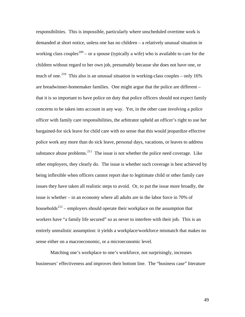responsibilities. This is impossible, particularly where unscheduled overtime work is demanded at short notice, unless one has no children – a relatively unusual situation in working class couples<sup>[20](#page-82-0)9</sup> – or a spouse (typically a wife) who is available to care for the children without regard to her own job, presumably because she does not have one, or much of one.<sup>[21](#page-82-0)0</sup> This also is an unusual situation in working-class couples – only  $16\%$ are breadwinner-homemaker families. One might argue that the police are different – that it is so important to have police on duty that police officers should not expect family concerns to be taken into account in any way. Yet, in the other case involving a police officer with family care responsibilities, the arbitrator upheld an officer's right to use her bargained-for sick leave for child care with no sense that this would jeopardize effective police work any more than do sick leave, personal days, vacations, or leaves to address substance abuse problems. $^{211}$  $^{211}$  $^{211}$  The issue is not whether the police need coverage. Like other employers, they clearly do. The issue is whether such coverage is best achieved by being inflexible when officers cannot report due to legitimate child or other family care issues they have taken all realistic steps to avoid. Or, to put the issue more broadly, the issue is whether – in an economy where all adults are in the labor force in 70% of households<sup>[2](#page-82-0)12</sup> – employers should operate their workplace on the assumption that workers have "a family life secured" so as never to interfere with their job. This is an entirely unrealistic assumption: it yields a workplace/workforce mismatch that makes no sense either on a macroeconomic, or a microeconomic level.

Matching one's workplace to one's workforce, not surprisingly, increases businesses' effectiveness and improves their bottom line. The "business case" literature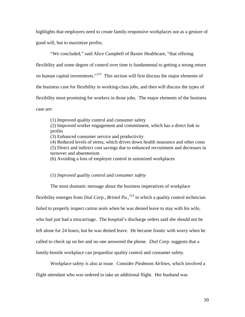highlights that employers need to create family-responsive workplaces not as a gesture of good will, but to maximize profits.

"We concluded," said Alice Campbell of Baxter Healthcare, "that offering flexibility and some degree of control over time is fundamental to getting a strong return on human capital investments."<sup>[21](#page-82-0)3</sup> This section will first discuss the major elements of the business case for flexibility in working-class jobs, and then will discuss the types of flexibility most promising for workers in those jobs. The major elements of the business case are:

(1) Improved quality control and consumer safety

(2) Improved worker engagement and commitment, which has a direct link to profits

(3) Enhanced consumer service and productivity

(4) Reduced levels of stress, which drives down health insurance and other costs (5) Direct and indirect cost savings due to enhanced recruitment and decreases in turnover and absenteeism

(6) Avoiding a loss of employer control in unionized workplaces

#### (1) *Improved quality control and consumer safety*

The most dramatic message about the business imperatives of workplace flexibility emerges from *Dial Corp., Bristol Pa.*,<sup>[2](#page-82-0)14</sup> in which a quality control technician failed to properly inspect carton seals when he was denied leave to stay with his wife, who had just had a miscarriage. The hospital's discharge orders said she should not be left alone for 24 hours, but he was denied leave. He became frantic with worry when he called to check up on her and no one answered the phone. *Dial Corp.* suggests that a family-hostile workplace can jeopardize quality control and consumer safety.

Workplace safety is also at issue. Consider *Piedmont Airlines*, which involved a flight attendant who was ordered to take an additional flight. Her husband was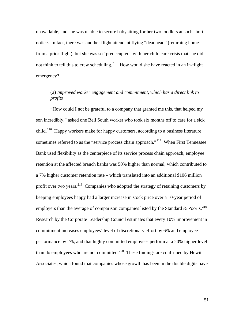unavailable, and she was unable to secure babysitting for her two toddlers at such short notice. In fact, there was another flight attendant flying "deadhead" (returning home from a prior flight), but she was so "preoccupied" with her child care crisis that she did not think to tell this to crew scheduling.<sup>[2](#page-82-0)15</sup> How would she have reacted in an in-flight emergency?

# (2) *Improved worker engagement and commitment, which has a direct link to profits*

"How could I not be grateful to a company that granted me this, that helped my son incredibly," asked one Bell South worker who took six months off to care for a sick child.<sup>[21](#page-82-0)6</sup> Happy workers make for happy customers, according to a business literature sometimes referred to as the "service process chain approach."<sup>[2](#page-82-0)17</sup> When First Tennessee Bank used flexibility as the centerpiece of its service process chain approach, employee retention at the affected branch banks was 50% higher than normal, which contributed to a 7% higher customer retention rate – which translated into an additional \$106 million profit over two years.  $218$  $218$  Companies who adopted the strategy of retaining customers by keeping employees happy had a larger increase in stock price over a 10-year period of employers than the average of comparison companies listed by the Standard & Poor's.<sup>[2](#page-82-0)19</sup> Research by the Corporate Leadership Council estimates that every 10% improvement in commitment increases employees' level of discretionary effort by 6% and employee performance by 2%, and that highly committed employees perform at a 20% higher level than do employees who are not committed.<sup>[22](#page-82-0)0</sup> These findings are confirmed by Hewitt Associates, which found that companies whose growth has been in the double digits have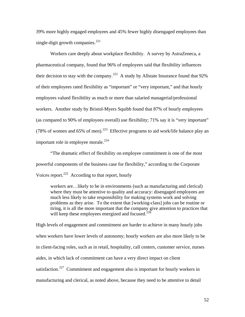39% more highly engaged employees and 45% fewer highly disengaged employees than single-digit growth companies.<sup>[2](#page-82-0)21</sup>

Workers care deeply about workplace flexibility. A survey by AstraZeneca, a pharmaceutical company, found that 96% of employees said that flexibility influences their decision to stay with the company.<sup>[2](#page-82-0)22</sup> A study by Allstate Insurance found that  $92\%$ of their employees rated flexibility as "important" or "very important," and that hourly employees valued flexibility as much or more than salaried managerial/professional workers. Another study by Bristol-Myers Squibb found that 87% of hourly employees (as compared to 90% of employees overall) use flexibility; 71% say it is "very important" (78% of women and 65% of men).<sup>[22](#page-82-0)3</sup> Effective programs to aid work/life balance play an important role in employee morale.<sup>[2](#page-82-0)24</sup>

"The dramatic effect of flexibility on employee commitment is one of the most powerful components of the business case for flexibility," according to the Corporate Voices report.<sup>[22](#page-82-0)5</sup> According to that report, hourly

workers are…likely to be in environments (such as manufacturing and clerical) where they must be attentive to quality and accuracy: disengaged employees are much less likely to take responsibility for making systems work and solving problems as they arise. To the extent that [working-class] jobs can be routine or tiring, it is all the more important that the company give attention to practices that will keep these employees energized and focused. $^{22\delta}$  $^{22\delta}$  $^{22\delta}$ 

High levels of engagement and commitment are harder to achieve in many hourly jobs when workers have lower levels of autonomy; hourly workers are also more likely to be in client-facing roles, such as in retail, hospitality, call centers, customer service, nurses aides, in which lack of commitment can have a very direct impact on client satisfaction.<sup>[2](#page-82-0)27</sup> Commitment and engagement also is important for hourly workers in manufacturing and clerical, as noted above, because they need to be attentive to detail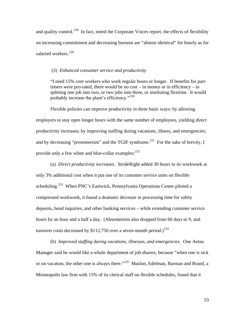and quality control.<sup>[2](#page-82-0)28</sup> In fact, noted the Corporate Voices report, the effects of flexibility on increasing commitment and decreasing burnout are "almost identical" for hourly as for salaried workers.<sup>[22](#page-82-0)9</sup>

#### (3) *Enhanced consumer service and productivity*

"I need 15% core workers who work regular hours or longer. If benefits for parttimers were pro-rated, there would be no cost – in money or in efficiency – to splitting one job into two, or two jobs into three, or instituting flextime. It would probably increase the plant's efficiency."<sup>[2](#page-82-0)30</sup>

Flexible policies can improve productivity in three basic ways: by allowing employers to stay open longer hours with the same number of employees, yielding direct productivity increases; by improving staffing during vacations, illness, and emergencies; and by decreasing "presenteeism" and the TGIF syndrome.<sup>[2](#page-82-0)31</sup> For the sake of brevity, I provide only a few white and blue-collar examples: <sup>[2](#page-82-0)32</sup>

(a) *Direct productivity increases.* StrideRight added 30 hours to its workweek at only 3% additional cost when it put one of its customer service units on flexible scheduling.<sup>[23](#page-82-0)3</sup> When PNC's Eastwick, Pennsylvania Operations Center piloted a compressed workweek, it found a dramatic decrease in processing time for safety deposits, bond inquiries, and other banking services – while extending customer service hours by an hour and a half a day. (Absenteeism also dropped from 60 days to 9, and turnover costs decreased by \$112,750 over a seven-month period.)<sup>[23](#page-82-0)4</sup>

(b) *Improved staffing during vacations, illnesses, and emergencies.* One Aetna Manager said he would like a whole department of job sharers, because "when one is sick or on vacation, the other one is always there."<sup>[2](#page-82-0)35</sup> Maslon, Edelman, Barman and Brand, a Minneapolis law firm with 15% of its clerical staff on flexible schedules, found that it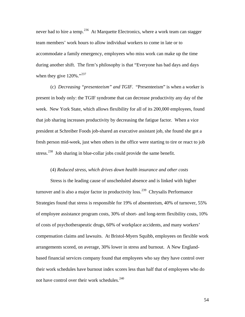never had to hire a temp.<sup>[23](#page-82-0)6</sup> At Marquette Electronics, where a work team can stagger team members' work hours to allow individual workers to come in late or to accommodate a family emergency, employees who miss work can make up the time during another shift. The firm's philosophy is that "Everyone has bad days and days when they give  $120\%$  $120\%$  $120\%$ ."<sup>237</sup>

 (c) *Decreasing "presenteeism" and TGIF.* "Presenteeism" is when a worker is present in body only: the TGIF syndrome that can decrease productivity any day of the week. New York State, which allows flexibility for all of its 200,000 employees, found that job sharing increases productivity by decreasing the fatigue factor. When a vice president at Schreiber Foods job-shared an executive assistant job, she found she got a fresh person mid-week, just when others in the office were starting to tire or react to job stress.<sup>[2](#page-82-0)38</sup> Job sharing in blue-collar jobs could provide the same benefit.

#### (4) *Reduced stress, which drives down health insurance and other costs*

Stress is the leading cause of unscheduled absence and is linked with higher turnover and is also a major factor in productivity loss.<sup>[23](#page-82-0)9</sup> Chrysalis Performance Strategies found that stress is responsible for 19% of absenteeism, 40% of turnover, 55% of employee assistance program costs, 30% of short- and long-term flexibility costs, 10% of costs of psychotherapeutic drugs, 60% of workplace accidents, and many workers' compensation claims and lawsuits. At Bristol-Myers Squibb, employees on flexible work arrangements scored, on average, 30% lower in stress and burnout. A New Englandbased financial services company found that employees who say they have control over their work schedules have burnout index scores less than half that of employees who do not have control over their work schedules. $^{240}$  $^{240}$  $^{240}$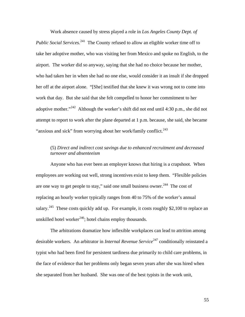Work absence caused by stress played a role in *Los Angeles County Dept. of Public Social Services.*[24](#page-82-0)1 The County refused to allow an eligible worker time off to take her adoptive mother, who was visiting her from Mexico and spoke no English, to the airport. The worker did so anyway, saying that she had no choice because her mother, who had taken her in when she had no one else, would consider it an insult if she dropped her off at the airport alone. "[She] testified that she knew it was wrong not to come into work that day. But she said that she felt compelled to honor her commitment to her adoptive mother."<sup>[2](#page-82-0)42</sup> Although the worker's shift did not end until 4:30 p.m., she did not attempt to report to work after the plane departed at 1 p.m. because, she said, she became "anxious and sick" from worrying about her work/family conflict. $^{243}$  $^{243}$  $^{243}$ 

## (5) *Direct and indirect cost savings due to enhanced recruitment and decreased turnover and absenteeism*

Anyone who has ever been an employer knows that hiring is a crapshoot. When employees are working out well, strong incentives exist to keep them. "Flexible policies are one way to get people to stay," said one small business owner.<sup>[24](#page-82-0)4</sup> The cost of replacing an hourly worker typically ranges from 40 to 75% of the worker's annual salary.<sup>[2](#page-82-0)45</sup> These costs quickly add up. For example, it costs roughly \$2,100 to replace an unskilled hotel worker<sup>[2](#page-82-0)46</sup>; hotel chains employ thousands.

The arbitrations dramatize how inflexible workplaces can lead to attrition among desirable workers. An arbitrator in *Internal Revenue Service*<sup>[24](#page-82-0)7</sup> conditionally reinstated a typist who had been fired for persistent tardiness due primarily to child care problems, in the face of evidence that her problems only began seven years after she was hired when she separated from her husband. She was one of the best typists in the work unit,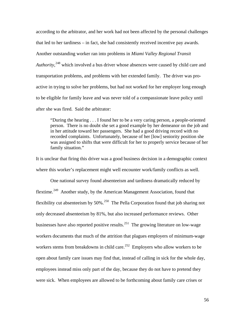according to the arbitrator, and her work had not been affected by the personal challenges that led to her tardiness – in fact, she had consistently received incentive pay awards. Another outstanding worker ran into problems in *Miami Valley Regional Transit Authority*, [24](#page-82-0)8 which involved a bus driver whose absences were caused by child care and transportation problems, and problems with her extended family. The driver was proactive in trying to solve her problems, but had not worked for her employer long enough to be eligible for family leave and was never told of a compassionate leave policy until after she was fired. Said the arbitrator:

"During the hearing . . . I found her to be a very caring person, a people-oriented person. There is no doubt she set a good example by her demeanor on the job and in her attitude toward her passengers. She had a good driving record with no recorded complaints. Unfortunately, because of her [low] seniority position she was assigned to shifts that were difficult for her to properly service because of her family situation."

It is unclear that firing this driver was a good business decision in a demographic context where this worker's replacement might well encounter work/family conflicts as well.

One national survey found absenteeism and tardiness dramatically reduced by flextime.[24](#page-82-0)9 Another study, by the American Management Association, found that flexibility cut absenteeism by  $50\%$ <sup>[2](#page-82-0)50</sup> The Pella Corporation found that job sharing not only decreased absenteeism by 81%, but also increased performance reviews. Other businesses have also reported positive results.<sup>[2](#page-82-0)51</sup> The growing literature on low-wage workers documents that much of the attrition that plagues employers of minimum-wage workers stems from breakdowns in child care.<sup>[2](#page-82-0)52</sup> Employers who allow workers to be open about family care issues may find that, instead of calling in sick for the whole day, employees instead miss only part of the day, because they do not have to pretend they were sick. When employees are allowed to be forthcoming about family care crises or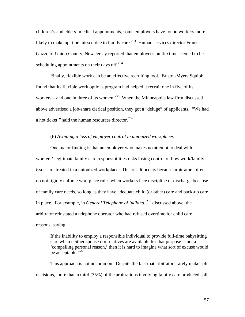children's and elders' medical appointments, some employers have found workers more likely to make up time missed due to family care.<sup>[25](#page-82-0)3</sup> Human services director Frank Guzzo of Union County, New Jersey reported that employees on flextime seemed to be scheduling appointments on their days off.<sup>[2](#page-82-0)54</sup>

 Finally, flexible work can be an effective recruiting tool. Bristol-Myers Squibb found that its flexible work options program had helped it recruit one in five of its workers – and one in three of its women.<sup>[25](#page-82-0)5</sup> When the Minneapolis law firm discussed above advertised a job-share clerical position, they got a "deluge" of applicants. "We had a hot ticket!" said the human resources director.<sup>[2](#page-82-0)56</sup>

#### (6) *Avoiding a loss of employer control in unionized workplaces*

One major finding is that an employer who makes no attempt to deal with workers' legitimate family care responsibilities risks losing control of how work/family issues are treated in a unionized workplace. This result occurs because arbitrators often do not rigidly enforce workplace rules when workers face discipline or discharge because of family care needs, so long as they have adequate child (or other) care and back-up care in place. For example, in *General Telephone of Indiana*, [25](#page-82-0)7 discussed above, the arbitrator reinstated a telephone operator who had refused overtime for child care reasons, saying:

If the inability to employ a responsible individual to provide full-time babysitting care when neither spouse nor relatives are available for that purpose is not a 'compelling personal reason,' then it is hard to imagine what sort of excuse would be acceptable.<sup>[2](#page-82-0)58</sup>

This approach is not uncommon. Despite the fact that arbitrators rarely make split decisions, more than a third (35%) of the arbitrations involving family care produced split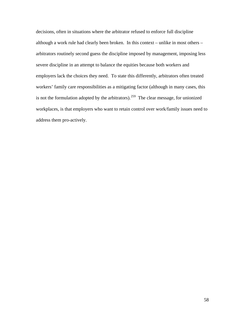decisions, often in situations where the arbitrator refused to enforce full discipline although a work rule had clearly been broken. In this context – unlike in most others – arbitrators routinely second guess the discipline imposed by management, imposing less severe discipline in an attempt to balance the equities because both workers and employers lack the choices they need. To state this differently, arbitrators often treated workers' family care responsibilities as a mitigating factor (although in many cases, this is not the formulation adopted by the arbitrators).<sup>[2](#page-82-0)59</sup> The clear message, for unionized workplaces, is that employers who want to retain control over work/family issues need to address them pro-actively.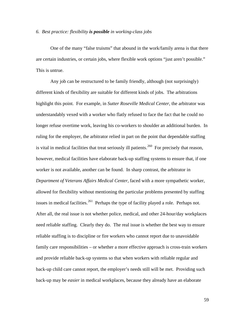#### *6. Best practice: flexibility is possible in working-class jobs*

 One of the many "false truisms" that abound in the work/family arena is that there are certain industries, or certain jobs, where flexible work options "just aren't possible." This is untrue.

Any job can be restructured to be family friendly, although (not surprisingly) different kinds of flexibility are suitable for different kinds of jobs. The arbitrations highlight this point. For example, in *Sutter Roseville Medical Center*, the arbitrator was understandably vexed with a worker who flatly refused to face the fact that he could no longer refuse overtime work, leaving his co-workers to shoulder an additional burden. In ruling for the employer, the arbitrator relied in part on the point that dependable staffing is vital in medical facilities that treat seriously ill patients.<sup>[2](#page-82-0)60</sup> For precisely that reason, however, medical facilities have elaborate back-up staffing systems to ensure that, if one worker is not available, another can be found. In sharp contrast, the arbitrator in *Department of Veterans Affairs Medical Center*, faced with a more sympathetic worker, allowed for flexibility without mentioning the particular problems presented by staffing issues in medical facilities.<sup>[26](#page-82-0)1</sup> Perhaps the type of facility played a role. Perhaps not. After all, the real issue is not whether police, medical, and other 24-hour/day workplaces need reliable staffing. Clearly they do. The real issue is whether the best way to ensure reliable staffing is to discipline or fire workers who cannot report due to unavoidable family care responsibilities – or whether a more effective approach is cross-train workers and provide reliable back-up systems so that when workers with reliable regular and back-up child care cannot report, the employer's needs still will be met. Providing such back-up may be *easier* in medical workplaces, because they already have an elaborate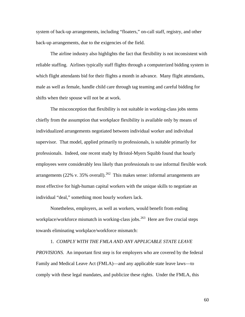system of back-up arrangements, including "floaters," on-call staff, registry, and other back-up arrangements, due to the exigencies of the field.

 The airline industry also highlights the fact that flexibility is not inconsistent with reliable staffing. Airlines typically staff flights through a computerized bidding system in which flight attendants bid for their flights a month in advance. Many flight attendants, male as well as female, handle child care through tag teaming and careful bidding for shifts when their spouse will not be at work.

The misconception that flexibility is not suitable in working-class jobs stems chiefly from the assumption that workplace flexibility is available only by means of individualized arrangements negotiated between individual worker and individual supervisor. That model, applied primarily to professionals, is suitable primarily for professionals. Indeed, one recent study by Bristol-Myers Squibb found that hourly employees were considerably less likely than professionals to use informal flexible work arrangements ([2](#page-82-0)2% v. 35% overall).<sup>262</sup> This makes sense: informal arrangements are most effective for high-human capital workers with the unique skills to negotiate an individual "deal," something most hourly workers lack.

Nonetheless, employers, as well as workers, would benefit from ending workplace/workforce mismatch in working-class jobs.<sup>[2](#page-82-0)63</sup> Here are five crucial steps towards eliminating workplace/workforce mismatch:

1. *COMPLY WITH THE FMLA AND ANY APPLICABLE STATE LEAVE PROVISIONS.* An important first step is for employers who are covered by the federal Family and Medical Leave Act (FMLA)—and any applicable state leave laws—to comply with these legal mandates, and publicize these rights. Under the FMLA, this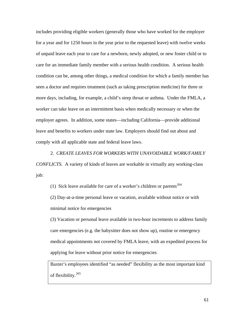includes providing eligible workers (generally those who have worked for the employer for a year and for 1250 hours in the year prior to the requested leave) with twelve weeks of unpaid leave each year to care for a newborn, newly adopted, or new foster child or to care for an immediate family member with a serious health condition. A serious health condition can be, among other things, a medical condition for which a family member has seen a doctor and requires treatment (such as taking prescription medicine) for three or more days, including, for example, a child's strep throat or asthma. Under the FMLA, a worker can take leave on an intermittent basis when medically necessary or when the employer agrees. In addition, some states—including California—provide additional leave and benefits to workers under state law. Employers should find out about and comply with all applicable state and federal leave laws.

2. *CREATE LEAVES FOR WORKERS WITH UNAVOIDABLE WORK/FAMILY CONFLICTS.* A variety of kinds of leaves are workable in virtually any working-class job:

(1) Sick leave available for care of a worker's children or parents<sup>[2](#page-82-0)64</sup> (2) Day-at-a-time personal leave or vacation, available without notice or with minimal notice for emergencies

(3) Vacation or personal leave available in two-hour increments to address family care emergencies (e.g. the babysitter does not show up), routine or emergency medical appointments not covered by FMLA leave, with an expedited process for applying for leave without prior notice for emergencies

Baxter's employees identified "as needed" flexibility as the most important kind of flexibility.[26](#page-82-0)5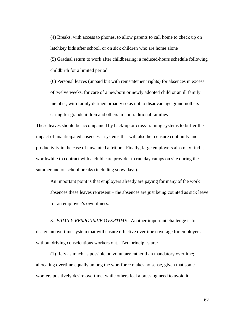(4) Breaks, with access to phones, to allow parents to call home to check up on latchkey kids after school, or on sick children who are home alone (5) Gradual return to work after childbearing: a reduced-hours schedule following childbirth for a limited period

(6) Personal leaves (unpaid but with reinstatement rights) for absences in excess of twelve weeks, for care of a newborn or newly adopted child or an ill family member, with family defined broadly so as not to disadvantage grandmothers caring for grandchildren and others in nontraditional families

These leaves should be accompanied by back-up or cross-training systems to buffer the impact of unanticipated absences – systems that will also help ensure continuity and productivity in the case of unwanted attrition. Finally, large employers also may find it worthwhile to contract with a child care provider to run day camps on site during the summer and on school breaks (including snow days).

An important point is that employers already are paying for many of the work absences these leaves represent – the absences are just being counted as sick leave for an employee's own illness.

3. *FAMILY-RESPONSIVE OVERTIME*. Another important challenge is to design an overtime system that will ensure effective overtime coverage for employers without driving conscientious workers out. Two principles are:

(1) Rely as much as possible on voluntary rather than mandatory overtime; allocating overtime equally among the workforce makes no sense, given that some workers positively desire overtime, while others feel a pressing need to avoid it;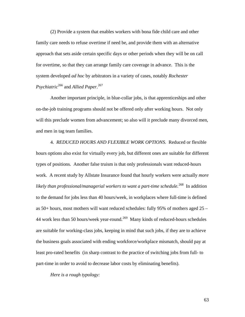(2) Provide a system that enables workers with bona fide child care and other family care needs to refuse overtime if need be, and provide them with an alternative approach that sets aside certain specific days or other periods when they will be on call for overtime, so that they can arrange family care coverage in advance. This is the system developed *ad hoc* by arbitrators in a variety of cases, notably *Rochester Psychiatric*[2](#page-82-0)66 and *Allied Paper*. [2](#page-82-0)67

Another important principle, in blue-collar jobs, is that apprenticeships and other on-the-job training programs should not be offered only after working hours. Not only will this preclude women from advancement; so also will it preclude many divorced men, and men in tag team families.

4. *REDUCED HOURS AND FLEXIBLE WORK OPTIONS.* Reduced or flexible hours options also exist for virtually every job, but different ones are suitable for different types of positions. Another false truism is that only professionals want reduced-hours work. A recent study by Allstate Insurance found that hourly workers were actually *more likely than professional/managerial workers to want a part-time schedule.*[26](#page-82-0)8In addition to the demand for jobs less than 40 hours/week, in workplaces where full-time is defined as 50+ hours, most mothers will want reduced schedules: fully 95% of mothers aged 25 – 44 work less than 50 hours/week year-round.<sup>[26](#page-82-0)9</sup> Many kinds of reduced-hours schedules are suitable for working-class jobs, keeping in mind that such jobs, if they are to achieve the business goals associated with ending workforce/workplace mismatch, should pay at least pro-rated benefits (in sharp contrast to the practice of switching jobs from full- to part-time in order to avoid to decrease labor costs by eliminating benefits).

*Here is a rough typology:*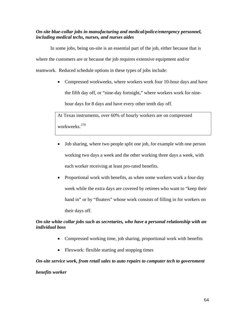## *On-site blue-collar jobs in manufacturing and medical/police/emergency personnel, including medical techs, nurses, and nurses aides*

In some jobs, being on-site is an essential part of the job, either because that is where the customers are or because the job requires extensive equipment and/or teamwork. Reduced schedule options in these types of jobs include:

> • Compressed workweeks, where workers work four 10-hour days and have the fifth day off, or "nine-day fortnight," where workers work for ninehour days for 8 days and have every other tenth day off.

At Texas instruments, over 60% of hourly workers are on compressed workweeks.[2](#page-82-0)70

- Job sharing, where two people split one job, for example with one person working two days a week and the other working three days a week, with each worker receiving at least pro-rated benefits.
- Proportional work with benefits, as when some workers work a four-day week while the extra days are covered by retirees who want to "keep their hand in" or by "floaters" whose work consists of filling in for workers on their days off.

## *On-site white collar jobs such as secretaries, who have a personal relationship with an individual boss*

- Compressed working time, job sharing, proportional work with benefits
- Flexwork: flexible starting and stopping times

### *On-site service work, from retail sales to auto repairs to computer tech to government*

### *benefits worker*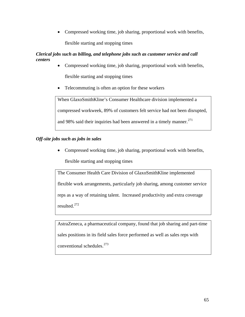• Compressed working time, job sharing, proportional work with benefits, flexible starting and stopping times

# *Clerical jobs such as billing, and telephone jobs such as customer service and call centers*

- Compressed working time, job sharing, proportional work with benefits, flexible starting and stopping times
- Telecommuting is often an option for these workers

When GlaxoSmithKline's Consumer Healthcare division implemented a compressed workweek, 89% of customers felt service had not been disrupted, and 98% said their inquiries had been answered in a timely manner.<sup>[27](#page-82-0)1</sup>

# *Off-site jobs such as jobs in sales*

• Compressed working time, job sharing, proportional work with benefits,

flexible starting and stopping times

The Consumer Health Care Division of GlaxoSmithKline implemented flexible work arrangements, particularly job sharing, among customer service reps as a way of retaining talent. Increased productivity and extra coverage resulted.[27](#page-82-0)2

AstraZeneca, a pharmaceutical company, found that job sharing and part-time sales positions in its field sales force performed as well as sales reps with conventional schedules.[2](#page-82-0)73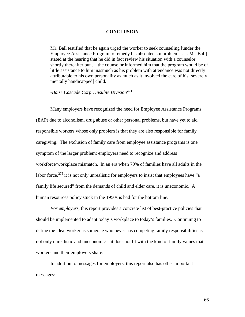#### **CONCLUSION**

Mr. Ball testified that he again urged the worker to seek counseling [under the Employee Assistance Program to remedy his absenteeism problem . . . . Mr. Ball] stated at the hearing that he did in fact review his situation with a counselor shortly thereafter but . . .the counselor informed him that the program would be of little assistance to him inasmuch as his problem with attendance was not directly attributable to his own personality as much as it involved the care of his [severely mentally handicapped] child.

*-Boise Cascade Corp., Insulite Division*<sup>[27](#page-82-0)4</sup>

Many employers have recognized the need for Employee Assistance Programs (EAP) due to alcoholism, drug abuse or other personal problems, but have yet to aid responsible workers whose only problem is that they are also responsible for family caregiving. The exclusion of family care from employee assistance programs is one symptom of the larger problem: employers need to recognize and address workforce/workplace mismatch. In an era when 70% of families have all adults in the labor force,  $275$  $275$  it is not only unrealistic for employers to insist that employees have "a family life secured" from the demands of child and elder care, it is uneconomic. A human resources policy stuck in the 1950s is bad for the bottom line.

*For employers,* this report provides a concrete list of best-practice policies that should be implemented to adapt today's workplace to today's families. Continuing to define the ideal worker as someone who never has competing family responsibilities is not only unrealistic and uneconomic – it does not fit with the kind of family values that workers and their employers share.

In addition to messages for employers, this report also has other important messages: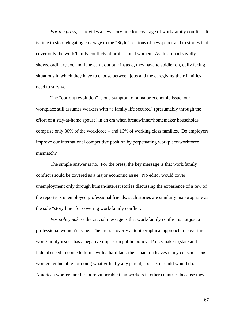*For the press*, it provides a new story line for coverage of work/family conflict. It is time to stop relegating coverage to the "Style" sections of newspaper and to stories that cover only the work/family conflicts of professional women. As this report vividly shows, ordinary Joe and Jane can't opt out: instead, they have to soldier on, daily facing situations in which they have to choose between jobs and the caregiving their families need to survive.

The "opt-out revolution" is one symptom of a major economic issue: our workplace still assumes workers with "a family life secured" (presumably through the effort of a stay-at-home spouse) in an era when breadwinner/homemaker households comprise only 30% of the workforce – and 16% of working class families. Do employers improve our international competitive position by perpetuating workplace/workforce mismatch?

The simple answer is no. For the press, the key message is that work/family conflict should be covered as a major economic issue. No editor would cover unemployment only through human-interest stories discussing the experience of a few of the reporter's unemployed professional friends; such stories are similarly inappropriate as the sole "story line" for covering work/family conflict.

*For policymakers* the crucial message is that work/family conflict is not just a professional women's issue. The press's overly autobiographical approach to covering work/family issues has a negative impact on public policy. Policymakers (state and federal) need to come to terms with a hard fact: their inaction leaves many conscientious workers vulnerable for doing what virtually any parent, spouse, or child would do. American workers are far more vulnerable than workers in other countries because they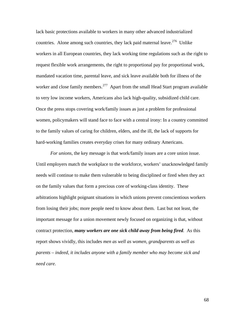lack basic protections available to workers in many other advanced industrialized countries. Alone among such countries, they lack paid maternal leave.<sup>[2](#page-82-0)76</sup> Unlike workers in all European countries, they lack working time regulations such as the right to request flexible work arrangements, the right to proportional pay for proportional work, mandated vacation time, parental leave, and sick leave available both for illness of the worker and close family members.<sup>[27](#page-82-0)7</sup> Apart from the small Head Start program available to very low income workers, Americans also lack high-quality, subsidized child care. Once the press stops covering work/family issues as just a problem for professional women, policymakers will stand face to face with a central irony: In a country committed to the family values of caring for children, elders, and the ill, the lack of supports for hard-working families creates everyday crises for many ordinary Americans.

*For unions*, the key message is that work/family issues are a core union issue. Until employers match the workplace to the workforce, workers' unacknowledged family needs will continue to make them vulnerable to being disciplined or fired when they act on the family values that form a precious core of working-class identity. These arbitrations highlight poignant situations in which unions prevent conscientious workers from losing their jobs; more people need to know about them. Last but not least, the important message for a union movement newly focused on organizing is that, without contract protection, *many workers are one sick child away from being fired.* As this report shows vividly, this includes *men as well as women, grandparents as well as parents – indeed, it includes anyone with a family member who may become sick and need care.*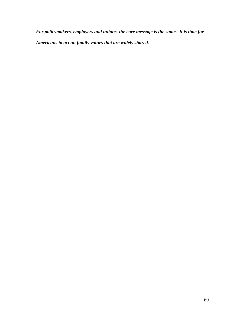*For policymakers, employers and unions, the core message is the same. It is time for Americans to act on family values that are widely shared.*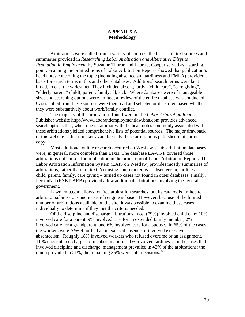#### **APPENDIX A Methodology**

Arbitrations were culled from a variety of sources; the list of full text sources and summaries provided in *Researching Labor Arbitration and Alternative Dispute Resolution in Employment* by Suzanne Thorpe and Laura J. Cooper served as a starting point. Scanning the print editions of Labor Arbitration Reports showed that publication's head notes concerning the topic (including absenteeism, tardiness and FMLA) provided a basis for search terms in this and other databases. Additional search terms were kept broad, to cast the widest net. They included absent, tardy, "child care", "care giving", "elderly parent," child!, parent, family, ill, sick. Where databases were of manageable sizes and searching options were limited, a review of the entire database was conducted. Cases culled from these sources were then read and selected or discarded based whether they were substantively about work/family conflict.

 The majority of the arbitrations found were in the *Labor Arbitration Reports*. Publisher website http://www.laborandemploymentlaw.bna.com provides advanced search options that, when one is familiar with the head notes commonly associated with these arbitrations yielded comprehensive lists of potential sources. The major drawback of this website is that it makes available only those arbitrations published in its print copy.

 Most additional online research occurred on Westlaw, as its arbitration databases were, in general, more complete than Lexis. The database LA-UNP covered those arbitrations not chosen for publication in the print copy of Labor Arbitration Reports. The Labor Arbitration Information System (LAIS on Westlaw) provides mostly summaries of arbitrations, rather than full text. Yet using common terms -- absenteeism, tardiness, child, parent, family, care giving – turned up cases not found in other databases. Finally, PersonNet (PNET-ARB) provided a few additional arbitrations involving the federal government.

Lawmemo.com allows for free arbitration searches, but its catalog is limited to arbitrator submissions and its search engine is basic. However, because of the limited number of arbitrations available on the site, it was possible to examine these cases individually to determine if they met the criteria needed.

Of the discipline and discharge arbitrations, most (79%) involved child care; 10% involved care for a parent; 9% involved care for an extended family member; 2% involved care for a grandparent; and 6% involved care for a spouse. In 65% of the cases, the workers were AWOL or had an unexcused absence or involved excessive absenteeism. Roughly 18% involved workers who refused overtime or an assignment. 11 % encountered charges of insubordination. 11% involved tardiness. In the cases that involved discipline and discharge, management prevailed in 43% of the arbitrations; the union prevailed in [2](#page-82-0)1%; the remaining  $35%$  were split decisions.<sup>278</sup>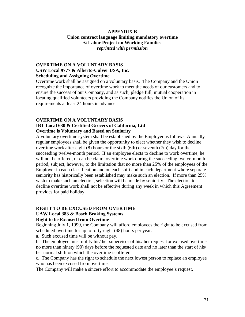## **APPENDIX B Union contract language limiting mandatory overtime © Labor Project on Working Families**  *reprinted with permission*

## **OVERTIME ON A VOLUNTARY BASIS USW Local 9777 & Alberto-Culver USA, Inc. Scheduling and Assigning Overtime**

Overtime work shall be assigned on a voluntary basis. The Company and the Union recognize the importance of overtime work to meet the needs of our customers and to ensure the success of our Company, and as such, pledge full, mutual cooperation in locating qualified volunteers providing the Company notifies the Union of its requirements at least 24 hours in advance.

### **OVERTIME ON A VOLUNTARY BASIS**

## **IBT Local 630 & Certified Grocers of California, Ltd Overtime is Voluntary and Based on Seniority**

A voluntary overtime system shall be established by the Employer as follows: Annually regular employees shall be given the opportunity to elect whether they wish to decline overtime work after eight (8) hours or the sixth (6th) or seventh (7th) day for the succeeding twelve-month period. If an employee elects to decline to work overtime, he will not be offered, or can he claim, overtime work during the succeeding twelve-month period, subject, however, to the limitation that no more than 25% of the employees of the Employer in each classification and on each shift and in each department where separate seniority has historically been established may make such an election. If more than 25% wish to make such an election, selection will be made by seniority. The election to decline overtime work shall not be effective during any week in which this Agreement provides for paid holiday

## **RIGHT TO BE EXCUSED FROM OVERTIME**

# **UAW Local 383 & Bosch Braking Systems**

# **Right to be Excused from Overtime**

Beginning July 1, 1999, the Company will afford employees the right to be excused from scheduled overtime for up to forty-eight (48) hours per year.

a. Such excused time will be without pay.

b. The employee must notify his/ her supervisor of his/ her request for excused overtime no more than ninety (90) days before the requested date and no later than the start of his/ her normal shift on which the overtime is offered.

c. The Company has the right to schedule the next lowest person to replace an employee who has been excused from overtime.

The Company will make a sincere effort to accommodate the employee's request.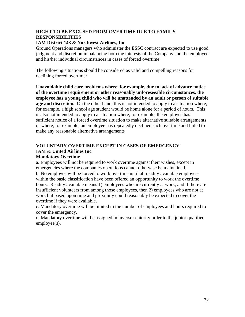## **RIGHT TO BE EXCUSED FROM OVERTIME DUE TO FAMILY RESPONSIBILITIES**

## **IAM District 143 & Northwest Airlines, Inc**

Ground Operations managers who administer the ESSC contract are expected to use good judgment and discretion in balancing both the interests of the Company and the employee and his/her individual circumstances in cases of forced overtime.

The following situations should be considered as valid and compelling reasons for declining forced overtime:

**Unavoidable child care problems where, for example, due to lack of advance notice of the overtime requirement or other reasonably unforeseeable circumstances, the employee has a young child who will be unattended by an adult or person of suitable age and discretion.** On the other hand, this is not intended to apply to a situation where, for example, a high school age student would be home alone for a period of hours. This is also not intended to apply to a situation where, for example, the employee has sufficient notice of a forced overtime situation to make alternative suitable arrangements or where, for example, an employee has repeatedly declined such overtime and failed to make any reasonable alternative arrangements

## **VOLUNTARY OVERTIME EXCEPT IN CASES OF EMERGENCY IAM & United Airlines Inc Mandatory Overtime**

a. Employees will not be required to work overtime against their wishes, except in emergencies where the companies operations cannot otherwise be maintained. b. No employee will be forced to work overtime until all readily available employees within the basic classification have been offered an opportunity to work the overtime hours. Readily available means 1) employees who are currently at work, and if there are insufficient volunteers from among those employees, then 2) employees who are not at work but based upon time and proximity could reasonably be expected to cover the overtime if they were available.

c. Mandatory overtime will be limited to the number of employees and hours required to cover the emergency.

d. Mandatory overtime will be assigned in inverse seniority order to the junior qualified employee(s).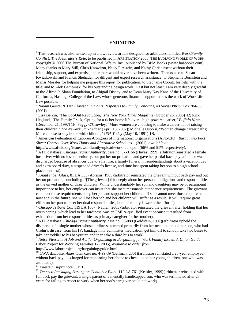## **ENDNOTES**

<sup>1</sup> This research was also written up in a law review article designed for arbitrators, entitled *Work/Family Conflict: The Arbitrator's Role,* to be published in ARBITRATION 2005: THE EVOLVING WORLD OF WORK, copyright © 2006 The Bureau of National Affairs, Inc., published by BNA Books (www.bnabooks.com). Many thanks to Mary Still, Chris Knowlton, Netsy Firestein, and Kathy Christensen; without their friendship, support, and expertise, this report would never have been written. Thanks also to Susan Kwiatkowski and Francis Shehadeh for diligent and expert research assistance; to Stephanie Bornstein and Manar Morales for helping me prepare this report for publication; to Stephanie Coontz for help with the title; and to Alek Gembinski for his outstanding design work. Last but not least, I am very deeply grateful to the Alfred P. Sloan Foundation, to Abigail Disney, and to Dean Mary Kay Kane of the University of California, Hastings College of the Law, whose generous financial support makes the work of WorkLife Law possible.

2 Naomi Gerstel & Dan Clawson, *Union's Responses to Family Concerns*, 48 Social PROBLEMS 284-85 (2001).

3 Lisa Belkin, "The Opt-Out Revolution," *The New York Times Magazine* (October 26, 2003) 42; Rick Heglund, "The Family Track; Opting for a richer home life over a high-powered career," *Buffalo News* (December 21, 1997) 1F; Peggy O'Crowley, "More women are choosing to make a career out of raising their children," *The Newark Star-Ledger* (April 18, 2002); Michelle Osborn, "Women change career paths; More choose to stay home with children," *USA Today* (May 10, 1991) 1B. 4

 American Federation of Laborers-Congress of International Organizations (AFL-CIO), *Bargaining Fact Sheet: Control Over Work Hours and Alternative Schedules* 1 (2001), *available at*

http://www.aflcio.org/issues/workfamily/upload/workhours.pdf. (66% and 51% respectively).

 ATU database: *Chicago Transit Authority,* case no. 97-0166 (Hayes, 1999)(arbitrator reinstated a female bus driver with no loss of seniority, but put her on probation and gave her partial back pay, after she was discharged because of absences due to a flat tire, a family funeral, misunderstandings about a vacation day and extra board duty, a suspended driver's license, and time lost spent taking her son to a high school placement test).

<sup>6</sup> *Knauf Fiber Glass*, 81 LA 333 (Abrams, 1983)(arbitrator reinstated the grievant without back pay and put her on probation, concluding: "[The grievant] felt deeply about her personal obligations and responsibilities as the unwed mother of three children. While understandably her son and daughters may be of paramount importance to her, her employer can insist that she meet reasonable attendance requirements. The grievant can meet those requirements, keep her job and support her children. If she cannot meet those requirements now and in the future, she will lose her job and her children will suffer as a result. It will require great effort on her part to meet her dual responsibilities, but it certainly is worth the effort.").

<sup>7</sup> *Chicago Tribune Co*., 119 LA 1007 (Nathan, 2003)(arbitrator reinstated the grievant after holding that her oversleeping, which lead to her tardiness, was an FMLA-qualified event because it resulted from exhaustion from her responsibilities as primary caregiver for her mother).

 ATU database: *Chicago Transit Authority*, case no. 96-080 (Goldstein, 1997)(arbitrator upheld the discharge of a single mother whose tardiness stemmed primarily from her need to unhook her son, who had Crohn's disease, from his IV, bandage him, administer medication, get him off to school, take two buses to take her toddler to his babysitter, and then take a third bus to work).

9 Netsy Firestein, *A Job and A Life: Organizing & Bargaining for Work Family Issues: A Union Guide*, Labor Project for Working Families 17 (2005), *available to order from* http://www.laborproject.org/bargaining/guide.html.

<sup>10</sup> CWA database: *Ameritech, case no.* 4-99-39 (Bellman, 2001)(arbitrator reinstated a 25-year employee, without back pay, discharged for monitoring her phone to check up on her young children, one who was asthmatic).<br><sup>11</sup> Firestein, *supra* note 9, at 15.

 $\overline{a}$ 

<sup>12</sup> Tenneco Packaging Burlington Container Plant, 112 LA 761 (Kessler, 1999)(arbitrator reinstated with full back pay the grievant, a single parent of a mentally handicapped son, who was terminated after 27 years for failing to report to work when her son's caregiver could not work).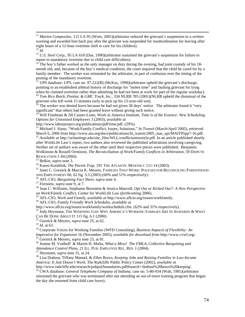<sup>13</sup> *Marion Composites*, 115 LA 95 (Wren, 2001)(arbitrator reduced the grievant's suspension to a written warning and awarded him back pay after the grievant was suspended for insubordination for leaving after eight hours of a 12-hour overtime shift to care for his children).  $14 \frac{1}{1}$ 

<sup>15</sup> *U.S. Steel Corp.*, 95 LA 610 (Das, 1990)(arbitrator sustained the grievant's suspension for failure to report to mandatory overtime due to child care difficulties).

<sup>16</sup> The boy's father worked as the only manager on duty during the evening, had joint custody of his 18month old, and, because of the boy's medical condition, the court required that the child be cared for by a family member. The worker was reinstated by the arbitrator, in part of confusion over the timing of the posting of the mandatory overtime.

<sup>17</sup> UPS database: *UPS*, case no. 97-222(B) (McKay, 1998)(arbitrator upheld the grievant's discharge, pointing to an established arbitral history of discharge for "stolen time" and faulting grievant for lying when he claimed overtime rather than admitting he had not been at work for part of the regular workday).

<sup>18</sup> *Tom Rice Buick, Pontiac & GMC Truck, Inc.*, 334 NLRB 785 (2001)(NLRB upheld the dismissal of the grievant who left work 15 minutes early to pick up his 13-year-old son).

 $\frac{19}{19}$  The worker was denied leave because he had not given 30 days' notice. The arbitrator found it "very" significant" that others had been granted leave without giving such notice.

20 Will Friedman & Jill Casner-Lotto, Work in America Institute, *Time is of the Essence: New Scheduling Options for Unionized Employees* 3 (2003), *available at*

http://www.laborproject.org/publications/pdf/time.pdf. (29%).

<sup>21</sup> Michael J. Siano, "Work/Family Conflict, Issues, Solutions," *In Transit* (March/April 2005), retrieved March 6, 2006 from http://www.atu.org/docs/publications/In\_transit/2005\_mar\_apr/MAIT05pp7-16.pdf. <sup>22</sup> Available at http://uchastings.edu/site\_files/WLL/conflictunionstyle.pdf. In an article published shortly

after WorkLife Law's report, two authors also reviewed the published arbitrations involving caregiving. Neither set of authors was aware of the other until their respective pieces were published. Benjamin Wolkinson & Russell Ormiston, *The Reconciliation of Work/Family Conflicts in Arbitration*, 59 DISPUTE RESOLUTION J. 84 (2004).<br><sup>23</sup> Belkin, *supra* note 3.<br><sup>24</sup> Karen Kornbluh, *The Parent Trap*, 291 THE ATLANTIC MONTHLY 111-14 (2003).<br><sup>25</sup> Janet C. Gornick & Marcia K. Meyers, FAMILIES THAT WORK: POLICIES FOR RECONCILING P

AND EMPLOYMENT 60, 62 fig. 3.3 (2003) (66% and 51% respectively).<br><sup>26</sup> AFL-CIO, *Bargaining Fact Sheet, supra* note 4.<br><sup>27</sup> Firestein, *supra* note 9, at 7.<br><sup>28</sup> Joan C. Williams, Stephanie Bornstein & Jessica Manvell, *O* 

*on Work/Family Conflict*, Center for WorkLife Law (*forthcoming* 2006).

29 AFL-CIO, *Work and Family*, *available at* http://www.aflcio.org/issues/workfamily. 30 AFL-CIO*, Family Friendly Work Schedules*, *available at*

http://www.aflcio.org/issues/workfamily/workscheduls.cfm. (62% and 31% respectively).<br><sup>31</sup> Jody Heymann, THE WIDENING GAP: WHY AMERICA'S WORKING FAMILIES ARE IN JEOPARDY & WHAT

CAN BE DONE ABOUT IT 115 fig. 6.1 (2000).<br><sup>32</sup> Gornick & Meyers, *supra* note 25, at 62.<br><sup>33</sup> *Id.* at 63. 34 Corporate Voices for Working Families (WFD Consulting), *Business Impacts of Flexibility: An* 

Imperative for Expansion 16 (November 2005), available for download from http://www.cvwf.org/.<br><sup>35</sup> Gornick & Meyers, *supra* note 25, at 81.<br><sup>36</sup> Jeanne M. Vonhoff & Martin H. Malin, *What a Mess! The FMLA, Collective Bar* 

<sup>37</sup> Heymann, *supra* note 31, at 24.<br><sup>38</sup> Lisa Dodson, Tiffany Manuel, & Ellen Bravo, *Keeping Jobs and Raising Families in Low-Income America: It Just Doesn't Work*, The Radcliffe Public Policy Center (2002), *available at*  http://www.radcliffe.edu/research/pubpol/boundaries.pdf#search='dodson%20bravo%20keeping'.

39 CWA database: *General Telephone Company of Indiana*, case no. 5-80-934 (Walt, 1981)(arbitrator

reinstated the grievant who was terminated after not attending an out-of-town training program that began the day she returned from child care leave).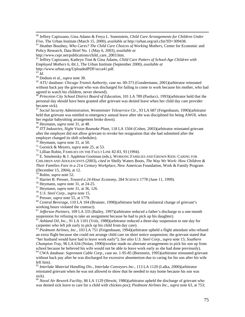40 Jeffery Capizzano, Gina Adams & Freya L. Sonenstein, *Child Care Arrangements for Children Under Five,* The Urban Institute (March 15, 2000), *available at* http://urban.org/url.cfm?ID=309438. 41 Heather Boushey, *Who Cares? The Child Care Choices of Working Mothers*, Center for Economic and

Policy Research, Data Brief No. 1 (May 6, 2003), *available at*

http://www.cepr.net/publications/child\_care\_2003.htm.<br><sup>42</sup> Jeffrey Capizzano, Kathryn Tout & Gina Adams, *Child Care Patters of School-Age Children with Employed Mothers* 6, tbl.1, The Urban Institute (September 2000), *available at*

http://www.urban.org/UploadedPDF/occa41.pdf.<br><sup>43</sup> Id.

<sup>43</sup> *Id.* 44 Dodson et al., *supra* note 38. 45 ATU database: *Chicago Transit Authority*, case no. 00-373 (Gundermann, 2001)(arbitrator reinstated without back pay the grievant who was discharged for failing to come to work because his mother, who had agreed to watch his children, never showed).

<sup>46</sup> *Princeton City School District Board of Education*, 101 LA 789 (Paolucci, 1993)(arbitrator held that the personal day should have been granted after grievant was denied leave when her child day care provider became sick).

<sup>47</sup> *Social Security Administration, Westminster Teleservice Ctr.*, 93 LA 687 (Feigenbaum, 1990)(arbitrator held that grievant was entitled to emergency annual leave after she was disciplined for being AWOL when her regular babysitting arrangement broke down).

48 Heymann, *supra* note 31, at 48.

<sup>49</sup> *ITT Industries, Night Vision Roanoke Plant,* 118 LA 1504 (Cohen, 2003)(arbitrator reinstated grievant after the employer did not allow grievant to revoke her resignation that she had submitted after the employer changed its shift schedules).<br><sup>50</sup> Heymann, *supra* note 31, at 50.

<sup>51</sup> Gornick & Meyers, *supra* note 25, at 53.<br><sup>52</sup> Lillian Rubin, FAMILIES ON THE FAULT LINE 82-83, 93 (1994).<br><sup>53</sup> E. Smolensky & J. Appleton Gootman (eds.), WORKING FAMILIES AND GROWN KIDS: CARING FOR CHILDREN AND ADOLESCENTS (2003), *cited in* Shelly Waters Boots, *The Way We Work: How Children & Their Families Fare in a 21st Century Workplace,* New American Foundation, Work & Family Program (December 15, 2004), at 12.

<sup>54</sup> Rubin, *supra* note 52.<br>
<sup>55</sup> Harriet B. Presser, *Toward a 24-Hour Economy*, 284 SCIENCE 1778 (June 11, 1999).<br>
<sup>56</sup> Heymann, *supra* note 31, at 24-25.<br>
<sup>57</sup> Heymann, *supra* note 31, at 36, 126.<br>
<sup>58</sup> U.S. *Steel* 

<sup>60</sup> Central Beverage, 110 LA 104 (Brunner, 1998)(arbitrator held that unilateral change of grievant's working hours violated the contract).

 $^{61}$  *Jefferson Partners*, 109 LA 335 (Bailey, 1997)(arbitrator reduced a father's discharge to a one-month suspension for refusing to take an assignment because he had to pick up his daughter).

 $\frac{62}{\text{Ashland Oil}}$ , *Inc.*, 91 LA 1101 (Volz, 1988)(arbitrator reduced a three-day suspension to one day for carpenter who left job early to pick up his child from day care).<br><sup>63</sup> *Piedmont Airlines, Inc.*, 103 LA 751 (Feigenbaum, 1994)(arbitrator upheld a flight attendant who refused

an extra flight because she could not arrange child care on short notice suspension; the grievant stated that "her husband would have had to leave work early"); *See also U.S. Steel Corp.*, *supra* note 15; *Southern Champion Tray*, 96 LA 634 (Nolan, 1990)(worker made no alternate arrangements to pick his son up from school because he believed his wife would not be able to leave work early as she had done previously).

64 CWA database: *Suprenant Cable Corp*., case no. 1-95-85 (Bornstein, 1995)(arbitrator reinstated grievant without back pay after he was discharged for excessive absenteeism due to caring for his son after his wife left him).

<sup>65</sup> *Interlake Material Handling Div., Interlake Conveyors Inc.*, 113 LA 1120 (Lalka, 2000)(arbitrator reinstated grievant when he was not allowed to show that he needed to stay home because his son was sick).

<sup>66</sup> *Naval Air Rework Facility*, 86 LA 1129 (Hewitt, 1986)(arbitrator upheld the discharge of grievant who was denied sick leave to care for a child with chicken pox); *Piedmont Airlines Inc.*, *supra* note 63, at 753;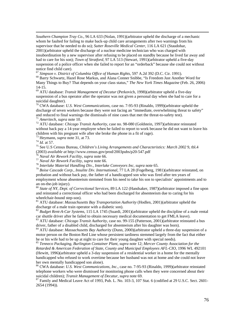*Southern Champion Tray Co*., 96 LA 633 (Nolan, 1991)(arbitrator upheld the discharge of a mechanic whom he faulted for failing to make back-up child care arrangements after two warnings from his supervisor that he needed to do so); *Sutter Roseville Medical Center*, 116 LA 621 (Staudohar, 2001)(arbitrator upheld the discharge of a nuclear medicine technician who was charged with insubordination by a new supervisor after refusing to be placed on standby because he lived far away and had to care for his son); *Town of Stratford*, 97 LA 513 (Stewart, 1991)(arbitrator upheld a five-day suspension of a police officer when she failed to report for an "orderback" because she could not without notice find child care).<br><sup>67</sup> Simpson v. District of Columbia Office of Human Rights, 597 A.2d 392 (D.C. Cir. 1991).

<sup>68</sup> Barry Schwartz, Hazel Rose Markus, and Alana Conner Snibbe, "Is Freedom Just Another Word for Many Things to Buy? That depends on your class status," *The New York Times Magazine* (Feb. 26, 2006) 14-15.

69 ATU database: *Transit Management of Decatur* (Perkovich, 1998)(arbitrator upheld a five-day suspension of a bus operator after the operator was not given a personal day when she had to care for a suicidal daughter).

70 CWA database: *U.S. West Communications*, case no. 7-95-93 (Rinaldo, 1999)(arbitrator upheld the discharge of seven workers because they were not facing an "immediate, overwhelming threat to safety" and reduced to final warnings the dismissals of nine cases that met the threat-to-safety test).

<sup>71</sup> Ameritech, supra note 10.<br><sup>72</sup> ATU database: *Chicago Transit Authority*, case no. 98-080 (Goldstein, 1997)(arbitrator reinstated without back pay a 14-year employee when he failed to report to work because he did not want to leave his children with his pregnant wife after she broke the phone in a fit of rage).<br><sup>73</sup> Heymann, *supra* note 31, at 73.

 $\overline{a}$ 

<sup>74</sup> *Id.* at 57.<br><sup>75</sup> See U.S Census Bureau, *Children's Living Arrangements and Characteristics: March 2002* 9, tbl.4 (2003) *available at http://www.census.gov/prod/2003pubs/p20-547.pdf* 

<sup>76</sup> Naval Air Rework Facility, supra note 66.<br><sup>77</sup> Naval Air Rework Facility, supra note 66.<br><sup>78</sup> Interlake Material Handling Div., Interlake Conveyors Inc, supra note 65.<br><sup>79</sup> Boise Cascade Corp., Insulite Div. Internat probation and without back pay, the father of a handicapped son who was fired after ten years of employment whose absenteeism stemmed from his need to take his son to specialists' appointments and to an on-the-job injury).

<sup>80</sup> *State of NY, Dept. of Correctional Services*, 89 LA 122 (Handsaker, 1987)(arbitrator imposed a fine upon and reinstated a correctional officer who had been discharged for absenteeism due to caring for his wheelchair-bound step-son).

81 ATU database: *Massachusetts Bay Transportation Authority* (Hodlen, 2001)(arbitrator upheld the discharge of a male train operator with a diabetic son).

<sup>82</sup> *Budget Rent-A-Car Systems*, 115 LA 1745 (Suardi, 2001)(arbitrator upheld the discipline of a male rental car shuttle driver after he failed to obtain necessary medical documentation to get FMLA leave). 83 ATU database: *Chicago Transit Authority*, case no. 99-155 (Patterson, 2001)(arbitrator reinstated a bus

driver, father of a disabled child, discharged for absenteeism after his daughter was born).

84 ATU database: *Massachusetts Bay Authority* (Dunn, 2000)(arbitrator upheld a three-day suspension of a motor person on the Boston Red Line whose persistent tardiness stemmed largely from the fact that either he or his wife had to be up at night to care for their young daughter with special needs).

<sup>85</sup> *Tenneco Packaging, Burlington Container Plant*, *supra* note 12; *Mercer County Association for the Retarded & American Federation of State, County and Municipal Employees AFL-CIO*, 1996 WL 492101 (Hewitt, 1996)(arbitrator upheld a 3-day suspension of a residential worker in a home for the mentally handicapped who refused to work overtime because her husband was not at home and she could not leave her own mentally handicapped son alone).

86 CWA database: *U.S. West Communications, Inc.*, case no. 7-95-93 (Rinaldo, 1999)(arbitrator reinstated telephone workers who were dismissed for monitoring phone calls when they were concerned about their suicidal children); *Transit Management of Decatur*, *supra* note 69.<br><sup>87</sup> Family and Medical Leave Act of 1993, Pub. L. No. 103-3, 107 Stat. 6 (codified at 29 U.S.C. Sect. 2601-

2654 (1994)).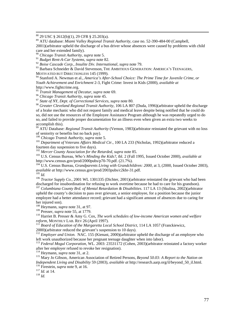89 ATU database: *Miami Valley Regional Transit Authority*, case no. 52-390-484-00 (Campbell,

2001)(arbitrator upheld the discharge of a bus driver whose absences were caused by problems with child care and her extended family).

<sup>91</sup> *Budget Rent-A-Car Systems*, *supra* note 82.

<sup>92</sup> *Boise Cascade Corp., Insulite Div. International*, *supra* note 79.

<sup>93</sup> Barbara Schneider & David Stevenson, THE AMBITIOUS GENERATION: AMERICA'S TEENAGERS, MOTIVATED BUT DIRECTIONLESS 145 (1999).

94 Stanford A. Newman et al., *America's After-School Choice: The Prime Time for Juvenile Crime, or Youth Achievement and Enrichment* 2-3, Fight Crime: Invest in Kids (2000), *available at*

http://www.fightcrime.org.<br><sup>95</sup> Transit Management of Decatur, supra note 69.

<sup>95</sup> *Transit Management of Decatur*, *supra* note 69. 96 *Chicago Transit Authority*, *supra* note 45. 97 *State of NY, Dept. of Correctional Services*, *supra* note 80.

<sup>98</sup> *Greater Cleveland Regional Transit Authority*, 106 LA 807 (Duda, 1996)(arbitrator upheld the discharge of a brake mechanic who did not request family and medical leave despite being notified that he could do so, did not use the resources of the Employee Assistance Program although he was repeatedly urged to do so, and failed to provide proper documentation for an illness even when given an extra two weeks to accomplish this).

<sup>99</sup> ATU Database: *Regional Transit Authority* (Vernon, 1983)(arbitrator reinstated the grievant with no loss of seniority or benefits but no back pay).

<sup>100</sup> *Chicago Transit Authority, supra* note 5.<br><sup>101</sup> Department of Veterans Affairs Medical Ctr., 100 LA 233 (Nicholas, 1992)(arbitrator reduced a fourteen day suspension to five days).<br>
<sup>102</sup> Mercer County Association for the Retarded, supra note 85.

103 U.S. Census Bureau, *Who's Minding the Kids?*, *tbl.* 2 (Fall 1995, Issued October 2000), *available at* http://www.census.gov/prod/2000pubs/p70-70.pdf. (21.7%).

<sup>104</sup> U.S. Census Bureau, *Grandparents Living with Grandchildren: 2000*, at 3, (2000, Issued October 2003), *available at http://www.census.gov/prod/2003pubs/c2kbr-31.pdf.* 

<sup>105</sup> *Id. atactor Supply Co.,* 2001 WL 1301335 (Dichter, 2001)(arbitrator reinstated the grievant who had been discharged for insubordination for refusing to work overtime because he had to care for his grandson).

<sup>107</sup> Columbiana County Brd. of Mental Retardation & Disabilities. 117 LA 13 (Skulina, 2002)(arbitrator upheld the county's decision to pass over grievant, a senior employee, for a position because the junior employee had a better attendance record; grievant had a significant amount of absences due to caring for her injured son).

<sup>108</sup> Heymann, *supra* note 31, at 97.<br><sup>109</sup> Presser, *supra* note 55, at 1779.

<sup>110</sup> Harriet B. Presser & Amy G. Cox, *The work schedules of low-income American women and welfare reform*, MONTHLY LAB. REV 26 (April 1997).<br><sup>111</sup> *Board of Education of the Margaretta Local School District*, 114 LA 1057 (Franckiewicz,

2000)(arbitrator reduced the grievant's suspension to 10 days).

<sup>112</sup> *Employer and Union.* NAC. 155 (Kienast, 2000)(arbitrator upheld the discharge of an employee who left work unauthorized because her pregnant teenage daughter when into labor).

<sup>113</sup> *Federal Mogul Corporation*, WL. 2003: 23531172 (Cohen, 2003)(arbitrator reinstated a factory worker after her employer refused to revoke her resignation).<br><sup>114</sup> Heymann, *supra* note 31, at 2.

114 Heymann, *supra* note 31, at 2. 115 Mary Jo Gibson, American Association of Retired Persons, *Beyond 50.03: A Report to the Nation on Independent Living and Disability* 59 (2003), *available at* http://research.aarp.org/il/beyond\_50\_il.html. 116 Firestein, *supra* note 9, at 16. 117 *Id.* at 14. 118 *Id.*

 <sup>88 29</sup> USC § 2612(b)(1), 29 CFR § 25.203(a).

<sup>90</sup> *Chicago Transit Authority*, *supra* note 5.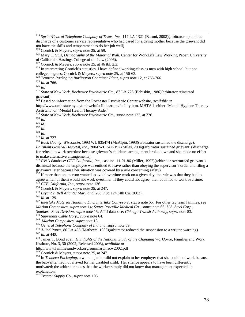119 *Sprint/Central Telephone Company of Texas, Inc.*, 117 LA 1321 (Baroni, 2002)(arbitrator upheld the discharge of a customer service representative who had cared for a dying mother because the grievant did not have the skills and temperament to do her job well).

<sup>123</sup> In interpreting Gornick's statistics, I have defined working class as men with high school, but not college, degrees. Gornick & Meyers, *supra* note 25, at 156-63.

<sup>124</sup> Tenneco Packaging Burlington Container Plant, supra note 12, at 765-766.<br><sup>125</sup> Id. at 766.<br><sup>126</sup> Id.<br><sup>126</sup> Id.

grievant).

128 Based on information from the Rochester Psychiatric Center website, *available at*

http://www.omh.state.ny.us/omhweb/facilities/ropc/facility.htm, MHTA is either "Mental Hygiene Therapy Assistant" or "Mental Health Therapy Aide."<br><sup>129</sup> State of New York, Rochester Psychiatric Ctr., supra note 127, at 726.

<sup>130</sup> *Id.*<br>
<sup>131</sup> *Id.*<br>
<sup>132</sup> *Id.*<br>
<sup>132</sup> *Id.*<br>
<sup>132</sup> *Id.*<br>
<sup>134</sup> *Id.* at 727.<br>
<sup>134</sup> *Id.* at 727.<br>
<sup>135</sup> *Rock County, Wisconsin,* 1993 WL 835474 (McAlpin, 1993)(arbitrator sustained the discharge). *Fairmont General Hospital, Inc.*, 2004 WL 3422192 (Miles, 2004)(arbitrator sustained grievant's discharge for refusal to work overtime because grievant's childcare arrangement broke down and she made no effort to make alternative arrangements).

136 CWA database: *GTE California*, *Inc*., case no. 11-91-86 (Miller, 1992)(arbitrator overturned grievant's dismissal because the employee was entitled to leave rather than obeying the supervisor's order and filing a grievance later because her situation was covered by a rule concerning safety).

 $^{137}$  If more than one person wanted to avoid overtime work on a given day, the rule was that they had to agree which of them would not work overtime. If they could not agree, then both had to work overtime.<br><sup>138</sup> *GTE California*, *Inc.*, *supra* note 136.<br><sup>139</sup> Gornick & Meyers, *supra* note 25, at 247.

<sup>140</sup> Bryant v. Bell Atlantic Maryland, 288 F.3d 124 (4th Cir. 2002).<br><sup>141</sup> Id. at 129.<br><sup>142</sup> Interlake Material Handling Div., Interlake Conveyors, supra note 65. For other tag team families, see *Marion Composites*, *supra* note 14; *Sutter Roseville Medical Ctr.*, *supra* note 66; *U.S. Steel Corp.,* 

<sup>143</sup> Suprenant Cable Corp., supra note 64.<br>
<sup>143</sup> Marion Composites, supra note 13.<br>
<sup>145</sup> General Telephone Company of Indiana, supra note 39.<br>
<sup>145</sup> Allied Paper, 80 LA 435 (Mathews, 1983)(arbitrator reduced the suspen

Institute, No. 3, 30 (2002, Released 2003), *available at*

http://www.familiesandwork.org/summary/nscw2002.pdf

<sup>149</sup> Gornick & Meyers, *supra* note 25, at 247.<br><sup>150</sup> In *Tenneco Packaging*, a woman janitor did not explain to her employer that she could not work because the babysitter had not arrived for her disabled child. Her silence appears to have been differently motivated: the arbitrator states that the worker simply did not know that management expected an explanation.

<sup>151</sup> Tractor Supply Co., supra note 106.

<sup>&</sup>lt;sup>120</sup> Gornick & Meyers, *supra* note 25, at 59.<br><sup>121</sup> Mary C. Still, *Demography of the Maternal Wall*, Center for WorkLife Law Working Paper, University of California, Hastings College of the Law (2006).<br><sup>122</sup> Gornick & Meyers, *supra* note 25, at 46 tbl. 2.2.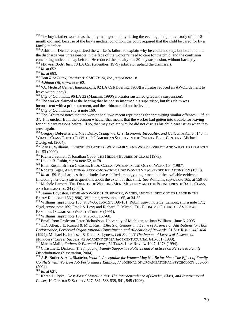<sup>154</sup> Midwest Body, Inc., 73 LA 651 (Guenther, 1979)(arbitrator upheld the dismissal).<br><sup>155</sup> Id. at 652.<br><sup>156</sup> Id. at 653.<br><sup>157</sup> Tom Rice Buick, Pontiac & GMC Truck, Inc., supra note 18.<br><sup>158</sup> Ashland Oil, supra note 62.

<sup>159</sup> *VA, Medical Center, Indianapolis*, 92 LA 691(Doering, 1988)(arbitrator reduced an AWOL demerit to leave without pay).<br><sup>160</sup> City of Columbus, 96 LA 32 (Mancini, 1990)(arbitrator sustained grievant's suspension).

<sup>161</sup> The worker claimed at the hearing that he had so informed his supervisor, but this claim was inconsistent with a prior statement, and the arbitrator did not believe it.

<sup>162</sup> City of Columbus, supra note 160.<br><sup>163</sup> The Arbitrator notes that the worker had "two recent reprimands for committing similar offenses." *Id.* at

37. It is unclear from the decision whether that means that the worker had gotten into trouble for leaving for child care reasons before. If so, that may explain why he did not discuss his child care issues when they arose again.

<sup>164</sup> Gregory DeFreitas and Niev Duffy, *Young Workers, Economic Inequality, and Collective Action* 145, *in* WHAT'S CLASS GOT TO DO WITH IT? AMERICAN SOCIETY IN THE TWENTY-FIRST CENTURY, Michael Zweig, ed. (2004).

165 Joan C. Williams, UNBENDING GENDER: WHY FAMILY AND WORK CONFLICT AND WHAT TO DO ABOUT IT 153 (2000).<br><sup>166</sup> Richard Sennett & Jonathan Cobb, THE HIDDEN INJURIES OF CLASS (1973).<br><sup>167</sup> Lillian B. Rubin, *supra* note 52, at 78.<br><sup>169</sup> Ellen Rosen, BITTER CHOICES: BLUE-COLLAR WOMEN IN AND OUT OF WORK 104 (1987).

 $170$  *Id.* at 159. Sigel argues that attitudes have shifted among younger men, but the available evidence (including her own) raises questions about the extent of that shift. *See* Williams, *supra* note 165, at 159-60. 171 Michèle Lamont, THE DIGNITY OF WORKING MEN: MORALITY AND THE BOUNDARIES OF RACE, CLASS,

AND IMMIGRATION 34 (2000).<br><sup>172</sup> Jeanne Boydston, HOME AND WORK : HOUSEWORK, WAGES, AND THE IDEOLOGY OF LABOR IN THE EARLY REPUBLIC 156 (1990); Williams, *supra* note 165, at 34-35.

<sup>173</sup> Williams, *supra* note 165, at 34-35, 156-157, 160-161; Rubin, *supra* note 52; Lamont, *supra* note 171; Sigel, *supra* note 169; Frank S. Levy and Richard C. Michel, THE ECONOMIC FUTURE OF AMERICAN FAMILIES: INCOME AND WEALTH TRENDS (1991).

<sup>174</sup> Williams, *supra* note 165, at 25-31, 157-60.<br><sup>175</sup> Email from Professor Peter Richardson, University of Michigan, to Joan Williams, June 6, 2005.<br><sup>176</sup> T.D. Allen, J.E. Russell & M.C. Rush, *Effects of Gender and L Performance, Perceived Organizational Commitment, and Allocation of Rewards,* 31 SEX ROLES 443-464

(1994); Michael K. Judiesch & Karen S. Lyness, *Left Behind? The Impact of Leaves of Absence on* 

<sup>177</sup> Martin Malin, *Fathers & Parental Leave*, 72 TEXAS LAW REVIEW 1047, 1078 (1994).<br><sup>178</sup> Christine E. Dickson, *The Impact of Family Supportive Policies and Practices on Perceived Family Discrimination* (dissertation, 2004).

179 A.B. Butler & A.L. Skattebo, *What Is Acceptable for Women May Not Be for Men: The Effect of Family Conflicts with Work on Job Performance Ratings,* 77 JOURNAL OF ORGANIZATIONAL PSYCHOLOGY 553-564  $(2004)$ .<br><sup>180</sup> *Id.* at 637.

<sup>181</sup> Karen D. Pyke, *Class-Based Masculinities: The Interdependence of Gender, Class, and Interpersonal Power*, 10 GENDER & SOCIETY 527, 531, 538-539, 541, 545 (1996).

<sup>&</sup>lt;sup>152</sup> The boy's father worked as the only manager on duty during the evening, had joint custody of his 18month old, and, because of the boy's medical condition, the court required that the child be cared for by a family member.

<sup>&</sup>lt;sup>153</sup> Arbitrator Dichter emphasized the worker's failure to explain why he could not stay, but he found that the discharge was unreasonable in the face of the worker's need to care for the child, and the confusion concerning notice the day before. He reduced the penalty to a 30-day suspension, without back pay.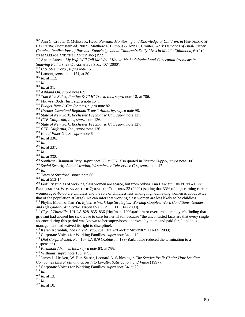<sup>182</sup> Ann C. Crouter & Melissa R. Head, *Parental Monitoring and Knowledge of Children, in* HANDBOOK OF PARENTING (Bornstein ed. 2002); Matthew F. Bumpus & Ann C. Crouter, *Work Demands of Dual-Earner Couples: Implications of Parents' Knowledge about Children's Daily Lives in Middle Childhood*, 61(2) J. OF MARRIAGE AND THE FAMILY 465 (1999).<br><sup>183</sup> Anette Lareau, *My Wife Will Tell Me Who I Know: Methodological and Conceptual Problems in* 

*Studying Fathers*, 23 QUALITATIVE SOC. 407 (2000).<br><sup>184</sup> *U.S. Steel Corp.*, *supra* note 15.<br><sup>185</sup> Lamont, *supra* note 171, at 30.<br><sup>186</sup> *Id.* at 112.<br><sup>187</sup> *Id.* 188 *Id.* at 31.

 $\overline{a}$ 

<sup>189</sup> *Ashland Oil*, *supra* note 62.

<sup>190</sup> *Tom Rice Buick, Pontiac & GMC Truck, Inc.*, *supra* note 18, at 786.

<sup>191</sup> *Midwest Body, Inc*., *supra* note 154.

<sup>192</sup> *Budget-Rent-A-Car Systems*, *supra* note 82.

<sup>193</sup> *Greater Cleveland Regional Transit Authority, supra* note 98.

<sup>194</sup> *State of New York, Rochester Psychiatric Ctr*., *supra* note 127.

<sup>195</sup> *GTE California*, *Inc*., *supra* note 136.

<sup>196</sup> *State of New York, Rochester Psychiatric Ctr*., *supra* note 127.

<sup>197</sup> *GTE California*, *Inc*., *supra* note 136.

<sup>198</sup> *Knauf Fiber Glass*, *supra* note 6.

200 *Id.*<br>
202 *Id.*<br>
202 *Id.*<br>
202 *Id.*<br>
203 *Id.* at 337.<br>
203 *Id.* at 338.<br>
204 *Southern Champion Tray, supra* note 66, at 637; also quoted in *Tractor Supply, supra* note 106.<br>
<sup>204</sup> *Social Security Administratio* 

<sup>209</sup> Fertility studies of working class women are scarce, but from Sylvia Ann Hewlett, CREATING A LIFE: PROFESSIONAL WOMAN AND THE QUEST FOR CHILDREN 33 (2002) (stating that 33% of high-earning career women aged 40-55 are childless and the rate of childlessness among high-achieving women is about twice that of the population at large), we can infer that working class women are less likely to be childless. <sup>210</sup> Phyllis Moen & Yan Yu, *Effective Work/Life Strategies: Working Couples, Work Conditions, Gender, and Life Quality, 47 SOCIAL PROBLEMS 3, 295, 311, 314 (2000).* 

<sup>211</sup> City of Titusville, 101 LA 828, 835–836 (Hoffman, 1993)(arbitrator overturned employer's finding that grievant had abused her sick leave to care for her ill son because "the uncontested facts are that every single absence during this period was known to her supervisors, approved by them, and paid for, " and thus management had waived its right to discipline).<br><sup>212</sup> Karen Kornbluh, *The Parent Trap*, 291 THE ATLANTIC MONTHLY 111-14 (2003).

<sup>213</sup> Corporate Voices for Working Families, *supra* note 34, at 12.<br><sup>214</sup> Dial Corp., Bristol, Pa., 107 LA 879 (Robinson, 1997)(arbitrator reduced the termination to a suspension).<br><sup>215</sup> Piedmont Airlines, Inc., supra note 63, at 755.

<sup>216</sup> Williams, *supra* note 165, at 93.<br><sup>217</sup> James L. Heskett, W. Earl Sasser, Leonard A. Schlesinger. *The Service Profit Chain: How Leading Companies Link Profit and Growth to Loyalty, Satisfaction, and Value* (1997). <sup>218</sup> Corporate Voices for Working Families, *supra* note 34, at 20.

<sup>219</sup> *Id*. 220 *Id.* at 13. 221 *Id*. 222 *Id.* at 10.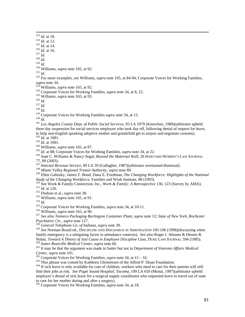223 *Id.* at 18.<br>
<sup>224</sup> *Id.* at 12.<br>
<sup>225</sup> *Id.* at 14.<br>
<sup>226</sup> *Id.* at 16.<br>
<sup>228</sup> *Id.*<br>
<sup>228</sup> *Id.*<br>
<sup>229</sup> *Id.* 

<sup>230</sup> Williams, *supra* note 165, at 92.<br><sup>231</sup> *Id.* 232 For more examples, *see* Williams, *supra* note 165, at 84-94; Corporate Voices for Working Families, *supra* note 34.<br><sup>233</sup> Williams, *supra* note 165, at 92.

<sup>234</sup> Corporate Voices for Working Families, *supra* note 34, at 8, 22.<br>
<sup>235</sup> Williams, *supra* note 165, at 93.<br>
<sup>236</sup> *Id.*<br>
<sup>237</sup> *Id.*<br>
<sup>238</sup> Corporate Voices for Working Families *supra* note 34, at 15.<br>
<sup>239</sup> Corpo three day suspension for social services employee who took day off, following denial of request for leave, to help non-English speaking adoptive mother and grandchild get to airport and negotiate customs).<br>  $^{242}$  *Id.* at 1081.<br>  $^{243}$  *Id.* at 1081.<br>  $^{244}$  Williams, *supra* note 165, at 87.<br>  $^{245}$  *Id.* at 88; Corporat

77, 89 (2003).

<sup>247</sup> *Internal Revenue Service*, 89 LA 59 (Gallagher, 1987)(arbitrator overturned dismissal). 248 *Miami Valley Regional Transit Authority*, *supra* note 89.

249 Ellen Galinsky, James T. Bond, Dana E. Friedman, *The Changing Workforce: Highlights of the National* 

Study of the Changing Workforce, Families and Work Institute, 88 (1993).<br>
<sup>250</sup> See Work & Family Connection, Inc., *Work & Family: A Retrospective* 130, 123 (Survey by AMA).<br>
<sup>251</sup> Id. at 126.<br>
<sup>252</sup> Dodson et al., *supr* 

*Psychiatric Ctr.*, *supra* note 127. 258 *General Telephone Co. of Indiana*, *supra* note 39.

<sup>259</sup> *See* Norman Brand ed., DISCIPLINE AND DISCHARGE IN ARBITRATION 105-106 (1998)(discussing when family emergency is a mitigating factor in attendance contexts). *See also* Roger I. Abrams & Dennis R. Nolan, *Toward A Theory of Just Cause in Employee Discipline Case*, DUKE LAW JOURNAL 594 (1985).<br><sup>260</sup> Sutter Roseville Medical Center, supra note 66.<br><sup>261</sup> It may be that the argument was made in Sutter but not in Departm

*Center, supra* note 101.<br><sup>262</sup> Corporate Voices for Working Families, *supra* note 34, at 15 – 16.<br><sup>263</sup> This phrase was coined by Kathleen Christensen of the Alfred P. Sloan Foundation.<br><sup>264</sup> If sick leave is only avail

find their jobs at risk. *See Puget Sound Hospital*, *Tacoma*, 109 LA 659 (Monat, 1997)(arbitrator upheld employer's denial of sick leave for a surgical supply coordinator who requested leave to travel out of state to care for her mother during and after a surgery). 265 Corporate Voices for Working Families, *supra* note 34, at 18.